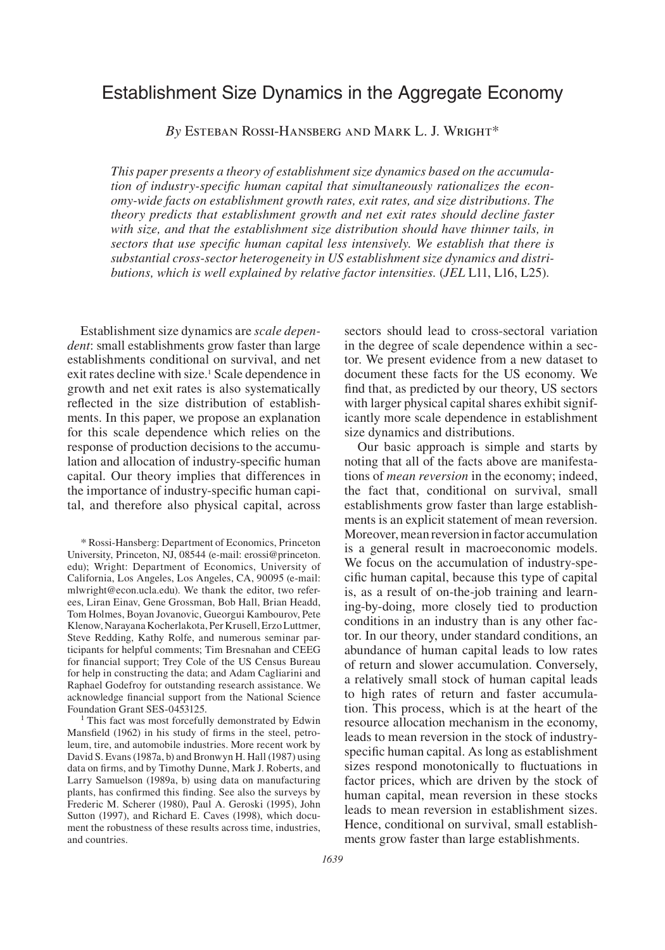# Establishment Size Dynamics in the Aggregate Economy

*By* Esteban Rossi-Hansberg and Mark L. J. Wright\*

*This paper presents a theory of establishment size dynamics based on the accumulation of industry-specific human capital that simultaneously rationalizes the economy-wide facts on establishment growth rates, exit rates, and size distributions. The theory predicts that establishment growth and net exit rates should decline faster with size, and that the establishment size distribution should have thinner tails, in sectors that use specific human capital less intensively. We establish that there is substantial cross-sector heterogeneity in US establishment size dynamics and distributions, which is well explained by relative factor intensities.* (*JEL* L11, L16, L25).

Establishment size dynamics are *scale dependent*: small establishments grow faster than large establishments conditional on survival, and net exit rates decline with size.<sup>1</sup> Scale dependence in growth and net exit rates is also systematically reflected in the size distribution of establishments. In this paper, we propose an explanation for this scale dependence which relies on the response of production decisions to the accumulation and allocation of industry-specific human capital. Our theory implies that differences in the importance of industry-specific human capital, and therefore also physical capital, across

\*Rossi-Hansberg: Department of Economics, Princeton University, Princeton, NJ, 08544 (e-mail: erossi@princeton. edu); Wright: Department of Economics, University of California, Los Angeles, Los Angeles, CA, 90095 (e-mail: mlwright@econ.ucla.edu). We thank the editor, two referees, Liran Einav, Gene Grossman, Bob Hall, Brian Headd, Tom Holmes, Boyan Jovanovic, Gueorgui Kambourov, Pete Klenow, Narayana Kocherlakota, Per Krusell, Erzo Luttmer, Steve Redding, Kathy Rolfe, and numerous seminar participants for helpful comments; Tim Bresnahan and CEEG for financial support; Trey Cole of the US Census Bureau for help in constructing the data; and Adam Cagliarini and Raphael Godefroy for outstanding research assistance. We acknowledge financial support from the National Science Foundation Grant SES-0453125.

<sup>1</sup> This fact was most forcefully demonstrated by Edwin Mansfield (1962) in his study of firms in the steel, petroleum, tire, and automobile industries. More recent work by David S. Evans (1987a, b) and Bronwyn H. Hall (1987) using data on firms, and by Timothy Dunne, Mark J. Roberts, and Larry Samuelson (1989a, b) using data on manufacturing plants, has confirmed this finding. See also the surveys by Frederic M. Scherer (1980), Paul A. Geroski (1995), John Sutton (1997), and Richard E. Caves (1998), which document the robustness of these results across time, industries, and countries.

sectors should lead to cross-sectoral variation in the degree of scale dependence within a sector. We present evidence from a new dataset to document these facts for the US economy. We find that, as predicted by our theory, US sectors with larger physical capital shares exhibit significantly more scale dependence in establishment size dynamics and distributions.

Our basic approach is simple and starts by noting that all of the facts above are manifestations of *mean reversion* in the economy; indeed, the fact that, conditional on survival, small establishments grow faster than large establishments is an explicit statement of mean reversion. Moreover, mean reversion in factor accumulation is a general result in macroeconomic models. We focus on the accumulation of industry-specific human capital, because this type of capital is, as a result of on-the-job training and learning-by-doing, more closely tied to production conditions in an industry than is any other factor. In our theory, under standard conditions, an abundance of human capital leads to low rates of return and slower accumulation. Conversely, a relatively small stock of human capital leads to high rates of return and faster accumulation. This process, which is at the heart of the resource allocation mechanism in the economy, leads to mean reversion in the stock of industryspecific human capital. As long as establishment sizes respond monotonically to fluctuations in factor prices, which are driven by the stock of human capital, mean reversion in these stocks leads to mean reversion in establishment sizes. Hence, conditional on survival, small establishments grow faster than large establishments.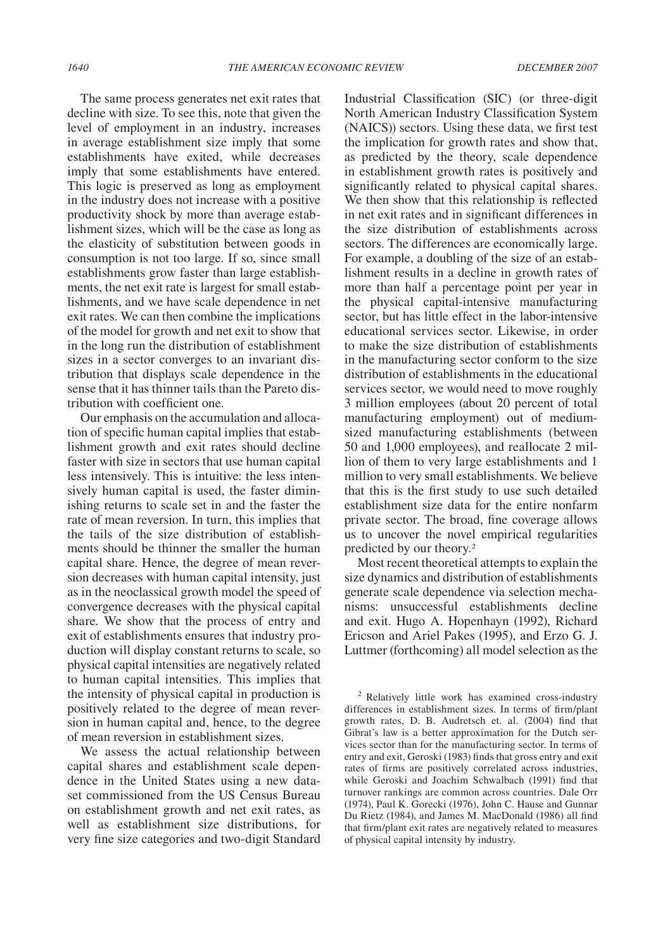The same process generates net exit rates that decline with size. To see this, note that given the level of employment in an industry, increases in average establishment size imply that some establishments have exited, while decreases imply that some establishments have entered. This logic is preserved as long as employment in the industry does not increase with a positive productivity shock by more than average establishment sizes, which will be the case as long as the elasticity of substitution between goods in consumption is not too large. If so, since small establishments grow faster than large establishments, the net exit rate is largest for small establishments, and we have scale dependence in net exit rates. We can then combine the implications of the model for growth and net exit to show that in the long run the distribution of establishment sizes in a sector converges to an invariant distribution that displays scale dependence in the sense that it has thinner tails than the Pareto distribution with coefficient one.

Our emphasis on the accumulation and allocation of specific human capital implies that establishment growth and exit rates should decline faster with size in sectors that use human capital less intensively. This is intuitive: the less intensively human capital is used, the faster diminishing returns to scale set in and the faster the rate of mean reversion. In turn, this implies that the tails of the size distribution of establishments should be thinner the smaller the human capital share. Hence, the degree of mean reversion decreases with human capital intensity, just as in the neoclassical growth model the speed of convergence decreases with the physical capital share. We show that the process of entry and exit of establishments ensures that industry production will display constant returns to scale, so physical capital intensities are negatively related to human capital intensities. This implies that the intensity of physical capital in production is positively related to the degree of mean reversion in human capital and, hence, to the degree of mean reversion in establishment sizes.

We assess the actual relationship between capital shares and establishment scale dependence in the United States using a new dataset commissioned from the US Census Bureau on establishment growth and net exit rates, as well as establishment size distributions, for very fine size categories and two-digit Standard Industrial Classification (SIC) (or three-digit North American Industry Classification System (NAICS)) sectors. Using these data, we first test the implication for growth rates and show that, as predicted by the theory, scale dependence in establishment growth rates is positively and significantly related to physical capital shares. We then show that this relationship is reflected in net exit rates and in significant differences in the size distribution of establishments across sectors. The differences are economically large. For example, a doubling of the size of an establishment results in a decline in growth rates of more than half a percentage point per year in the physical capital-intensive manufacturing sector, but has little effect in the labor-intensive educational services sector. Likewise, in order to make the size distribution of establishments in the manufacturing sector conform to the size distribution of establishments in the educational services sector, we would need to move roughly 3 million employees (about 20 percent of total manufacturing employment) out of mediumsized manufacturing establishments (between 50 and 1,000 employees), and reallocate 2 million of them to very large establishments and 1 million to very small establishments. We believe that this is the first study to use such detailed establishment size data for the entire nonfarm private sector. The broad, fine coverage allows us to uncover the novel empirical regularities predicted by our theory.

Most recent theoretical attempts to explain the size dynamics and distribution of establishments generate scale dependence via selection mechanisms: unsuccessful establishments decline and exit. Hugo A. Hopenhayn (1992), Richard Ericson and Ariel Pakes (1995), and Erzo G. J. Luttmer (forthcoming) all model selection as the

<sup>&</sup>lt;sup>2</sup> Relatively little work has examined cross-industry differences in establishment sizes. In terms of firm/plant growth rates, D. B. Audretsch et. al. (2004) find that Gibrat's law is a better approximation for the Dutch services sector than for the manufacturing sector. In terms of entry and exit, Geroski (1983) finds that gross entry and exit rates of firms are positively correlated across industries, while Geroski and Joachim Schwalbach (1991) find that turnover rankings are common across countries. Dale Orr (1974), Paul K. Gorecki (1976), John C. Hause and Gunnar Du Rietz (1984), and James M. MacDonald (1986) all find that firm/plant exit rates are negatively related to measures of physical capital intensity by industry.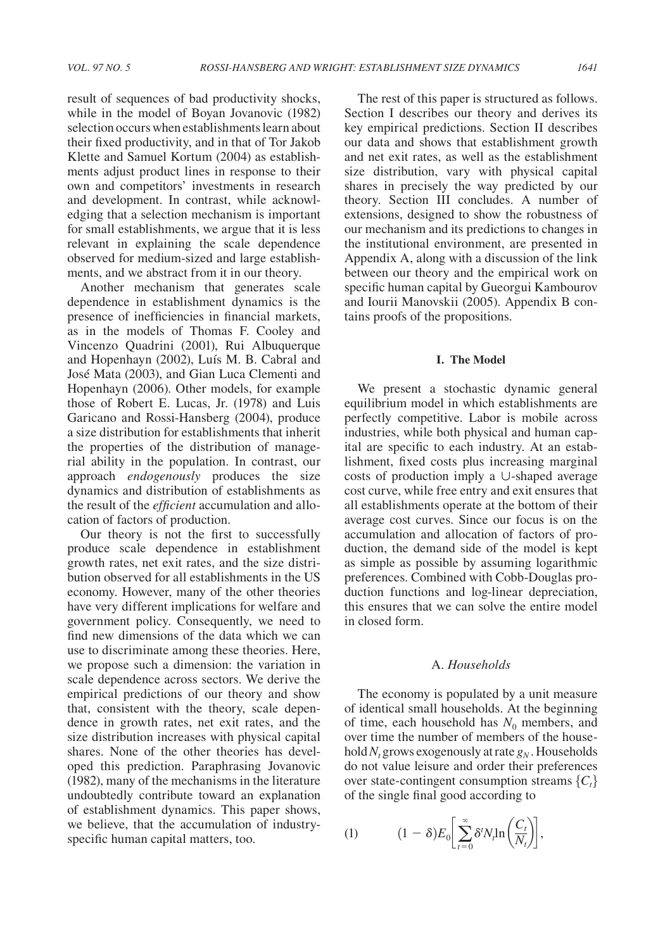result of sequences of bad productivity shocks, while in the model of Boyan Jovanovic (1982) selection occurs when establishments learn about their fixed productivity, and in that of Tor Jakob Klette and Samuel Kortum (2004) as establishments adjust product lines in response to their own and competitors' investments in research and development. In contrast, while acknowledging that a selection mechanism is important for small establishments, we argue that it is less relevant in explaining the scale dependence observed for medium-sized and large establishments, and we abstract from it in our theory.

Another mechanism that generates scale dependence in establishment dynamics is the presence of inefficiencies in financial markets, as in the models of Thomas F. Cooley and Vincenzo Quadrini (2001), Rui Albuquerque and Hopenhayn (2002), Luís M. B. Cabral and José Mata (2003), and Gian Luca Clementi and Hopenhayn (2006). Other models, for example those of Robert E. Lucas, Jr. (1978) and Luis Garicano and Rossi-Hansberg (2004), produce a size distribution for establishments that inherit the properties of the distribution of managerial ability in the population. In contrast, our approach *endogenously* produces the size dynamics and distribution of establishments as the result of the *efficient* accumulation and allocation of factors of production.

Our theory is not the first to successfully produce scale dependence in establishment growth rates, net exit rates, and the size distribution observed for all establishments in the US economy. However, many of the other theories have very different implications for welfare and government policy. Consequently, we need to find new dimensions of the data which we can use to discriminate among these theories. Here, we propose such a dimension: the variation in scale dependence across sectors. We derive the empirical predictions of our theory and show that, consistent with the theory, scale dependence in growth rates, net exit rates, and the size distribution increases with physical capital shares. None of the other theories has developed this prediction. Paraphrasing Jovanovic (1982), many of the mechanisms in the literature undoubtedly contribute toward an explanation of establishment dynamics. This paper shows, we believe, that the accumulation of industryspecific human capital matters, too.

The rest of this paper is structured as follows. Section I describes our theory and derives its key empirical predictions. Section II describes our data and shows that establishment growth and net exit rates, as well as the establishment size distribution, vary with physical capital shares in precisely the way predicted by our theory. Section III concludes. A number of extensions, designed to show the robustness of our mechanism and its predictions to changes in the institutional environment, are presented in Appendix A, along with a discussion of the link between our theory and the empirical work on specific human capital by Gueorgui Kambourov and Iourii Manovskii (2005). Appendix B contains proofs of the propositions.

#### **I. The Model**

We present a stochastic dynamic general equilibrium model in which establishments are perfectly competitive. Labor is mobile across industries, while both physical and human capital are specific to each industry. At an establishment, fixed costs plus increasing marginal costs of production imply a  $\cup$ -shaped average cost curve, while free entry and exit ensures that all establishments operate at the bottom of their average cost curves. Since our focus is on the accumulation and allocation of factors of production, the demand side of the model is kept as simple as possible by assuming logarithmic preferences. Combined with Cobb-Douglas production functions and log-linear depreciation, this ensures that we can solve the entire model in closed form.

#### A. *Households*

The economy is populated by a unit measure of identical small households. At the beginning of time, each household has  $N_0$  members, and over time the number of members of the household  $N_t$  grows exogenously at rate  $g_N$ . Households do not value leisure and order their preferences over state-contingent consumption streams  $\{C_t\}$ of the single final good according to

$$
(1) \qquad (1-\delta)E_0\bigg[\sum_{t=0}^{\infty}\delta^tN_t\ln\bigg(\frac{C_t}{N_t}\bigg)\bigg],
$$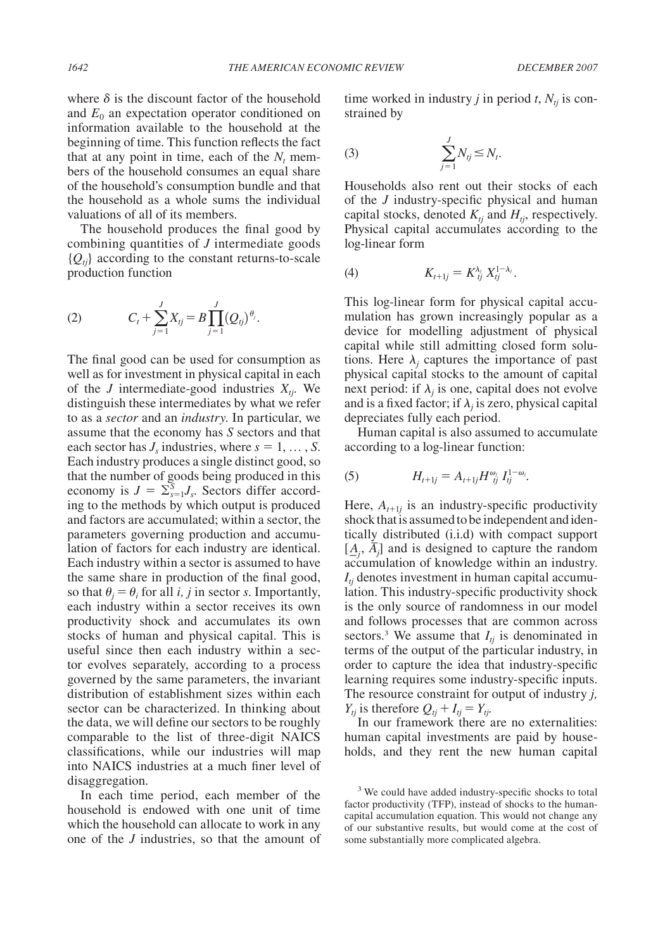where  $\delta$  is the discount factor of the household and  $E_0$  an expectation operator conditioned on information available to the household at the beginning of time. This function reflects the fact that at any point in time, each of the  $N_t$  members of the household consumes an equal share of the household's consumption bundle and that the household as a whole sums the individual valuations of all of its members.

The household produces the final good by combining quantities of *J* intermediate goods  ${Q_{ti}}$  according to the constant returns-to-scale production function

(2) 
$$
C_t + \sum_{j=1}^J X_{tj} = B \prod_{j=1}^J (Q_{tj})^{\theta_j}.
$$

The final good can be used for consumption as well as for investment in physical capital in each of the *J* intermediate-good industries  $X_{ti}$ . We distinguish these intermediates by what we refer to as a *sector* and an *industry*. In particular, we assume that the economy has *S* sectors and that each sector has  $J_s$  industries, where  $s = 1, \ldots, S$ . Each industry produces a single distinct good, so that the number of goods being produced in this economy is  $J = \sum_{s=1}^{S} J_s$ . Sectors differ according to the methods by which output is produced and factors are accumulated; within a sector, the parameters governing production and accumulation of factors for each industry are identical. Each industry within a sector is assumed to have the same share in production of the final good, so that  $\theta_j = \theta_i$  for all *i*, *j* in sector *s*. Importantly, each industry within a sector receives its own productivity shock and accumulates its own stocks of human and physical capital. This is useful since then each industry within a sector evolves separately, according to a process governed by the same parameters, the invariant distribution of establishment sizes within each sector can be characterized. In thinking about the data, we will define our sectors to be roughly comparable to the list of three-digit NAICS classifications, while our industries will map into NAICS industries at a much finer level of disaggregation.

In each time period, each member of the household is endowed with one unit of time which the household can allocate to work in any one of the *J* industries, so that the amount of time worked in industry *j* in period *t*,  $N_{ti}$  is constrained by

$$
(3) \qquad \qquad \sum_{j=1}^{J} N_{ij} \leq N_t.
$$

Households also rent out their stocks of each of the *J* industry-specific physical and human capital stocks, denoted  $K_{ti}$  and  $H_{ti}$ , respectively. Physical capital accumulates according to the log-linear form

(4) 
$$
K_{t+1j} = K_{ij}^{\lambda_j} X_{tj}^{1-\lambda_j}.
$$

This log-linear form for physical capital accumulation has grown increasingly popular as a device for modelling adjustment of physical capital while still admitting closed form solutions. Here  $\lambda_j$  captures the importance of past physical capital stocks to the amount of capital next period: if  $\lambda_j$  is one, capital does not evolve and is a fixed factor; if  $\lambda_j$  is zero, physical capital depreciates fully each period.

Human capital is also assumed to accumulate according to a log-linear function:

(5) 
$$
H_{t+1j} = A_{t+1j} H^{\omega_j}_{ij} I^{1-\omega_j}_{tj}.
$$

Here,  $A_{t+1j}$  is an industry-specific productivity shock that is assumed to be independent and identically distributed (i.i.d) with compact support *\_*  $[\underline{A}_j, \overline{A}_j]$  and is designed to capture the random accumulation of knowledge within an industry.  $I_{ti}$  denotes investment in human capital accumulation. This industry-specific productivity shock is the only source of randomness in our model and follows processes that are common across sectors.<sup>3</sup> We assume that  $I_{tj}$  is denominated in terms of the output of the particular industry, in order to capture the idea that industry-specific learning requires some industry-specific inputs. The resource constraint for output of industry *j,*  $Y_{tj}$  is therefore  $Q_{tj} + I_{tj} = Y_{tj}$ .

In our framework there are no externalities: human capital investments are paid by households, and they rent the new human capital

<sup>&</sup>lt;sup>3</sup> We could have added industry-specific shocks to total factor productivity (TFP), instead of shocks to the humancapital accumulation equation. This would not change any of our substantive results, but would come at the cost of some substantially more complicated algebra.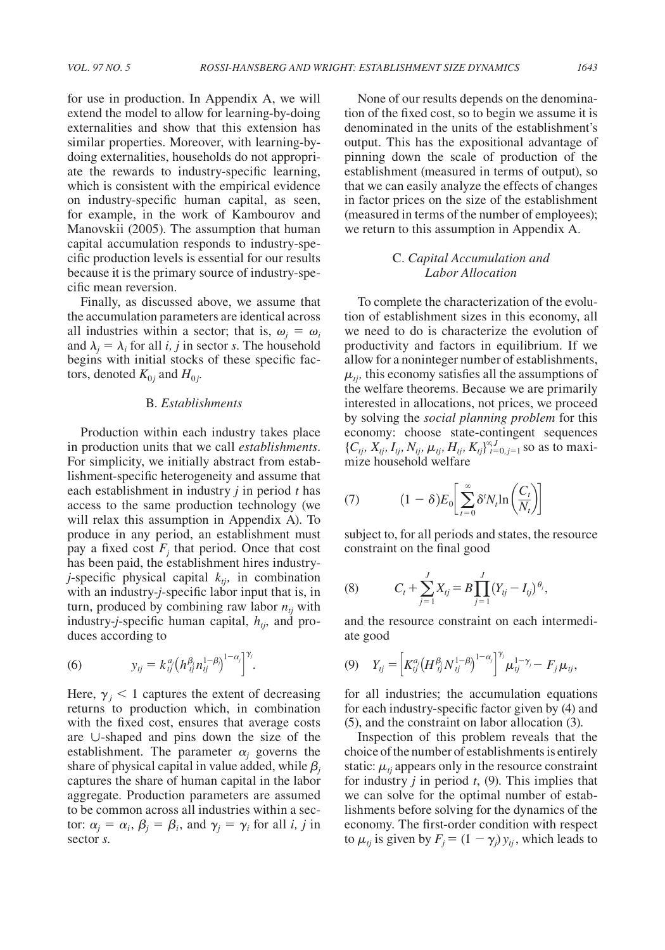for use in production. In Appendix A, we will extend the model to allow for learning-by-doing externalities and show that this extension has similar properties. Moreover, with learning-bydoing externalities, households do not appropriate the rewards to industry-specific learning, which is consistent with the empirical evidence on industry-specific human capital, as seen, for example, in the work of Kambourov and Manovskii (2005). The assumption that human capital accumulation responds to industry-specific production levels is essential for our results because it is the primary source of industry-specific mean reversion.

Finally, as discussed above, we assume that the accumulation parameters are identical across all industries within a sector; that is,  $\omega_j = \omega_i$ and  $\lambda_j = \lambda_i$  for all *i, j* in sector *s*. The household begins with initial stocks of these specific factors, denoted  $K_{0j}$  and  $H_{0j}$ .

## B. *Establishments*

Production within each industry takes place in production units that we call *establishments*. For simplicity, we initially abstract from establishment-specific heterogeneity and assume that each establishment in industry *j* in period *t* has access to the same production technology (we will relax this assumption in Appendix A). To produce in any period, an establishment must pay a fixed cost  $F_j$  that period. Once that cost has been paid, the establishment hires industry*j*-specific physical capital  $k_{tj}$ , in combination with an industry-*j*-specific labor input that is, in turn, produced by combining raw labor  $n_{tj}$  with industry-*j*-specific human capital,  $h_{tj}$ , and produces according to

(6) 
$$
y_{ij} = k_{ij}^{a_j} (h_{ij}^{\beta_i} n_{ij}^{1-\beta_j})^{1-\alpha_j} \bigg]^{\gamma_j}.
$$

Here,  $\gamma$ <sub>*i*</sub> < 1 captures the extent of decreasing returns to production which, in combination with the fixed cost, ensures that average costs are  $\cup$ -shaped and pins down the size of the establishment. The parameter  $\alpha_j$  governs the share of physical capital in value added, while  $\beta$ <sub>*i*</sub> captures the share of human capital in the labor aggregate. Production parameters are assumed to be common across all industries within a sector:  $\alpha_j = \alpha_i$ ,  $\beta_j = \beta_i$ , and  $\gamma_j = \gamma_i$  for all *i*, *j* in sector *s*.

None of our results depends on the denomination of the fixed cost, so to begin we assume it is denominated in the units of the establishment's output. This has the expositional advantage of pinning down the scale of production of the establishment (measured in terms of output), so that we can easily analyze the effects of changes in factor prices on the size of the establishment (measured in terms of the number of employees); we return to this assumption in Appendix A.

## C. *Capital Accumulation and Labor Allocation*

To complete the characterization of the evolution of establishment sizes in this economy, all we need to do is characterize the evolution of productivity and factors in equilibrium. If we allow for a noninteger number of establishments,  $\mu_{ti}$ , this economy satisfies all the assumptions of the welfare theorems. Because we are primarily interested in allocations, not prices, we proceed by solving the *social planning problem* for this economy: choose state-contingent sequences  ${C_{tj}, X_{tj}, I_{tj}, N_{tj}, \mu_{tj}, H_{tj}, K_{tj}}^{\approx J}$  so as to maximize household welfare

(7) 
$$
(1 - \delta)E_0 \left[ \sum_{t=0}^{\infty} \delta^t N_t \ln \left( \frac{C_t}{N_t} \right) \right]
$$

subject to, for all periods and states, the resource constraint on the final good

(8) 
$$
C_t + \sum_{j=1}^J X_{ij} = B \prod_{j=1}^J (Y_{ij} - I_{ij})^{\theta_j},
$$

and the resource constraint on each intermediate good

$$
(9) \tY_{ij} = \left[K_{ij}^{a_j} \left(H_{ij}^{\beta_j} N_{ij}^{1-\beta_j}\right)^{1-\alpha_j}\right]^{\gamma_j} \mu_{ij}^{1-\gamma_j} - F_j \mu_{ij},
$$

for all industries; the accumulation equations for each industry-specific factor given by (4) and (5), and the constraint on labor allocation (3).

Inspection of this problem reveals that the choice of the number of establishments is entirely static:  $\mu_{ti}$  appears only in the resource constraint for industry *j* in period *t*, (9). This implies that we can solve for the optimal number of establishments before solving for the dynamics of the economy. The first-order condition with respect to  $\mu_{tj}$  is given by  $F_j = (1 - \gamma_j) y_{tj}$ , which leads to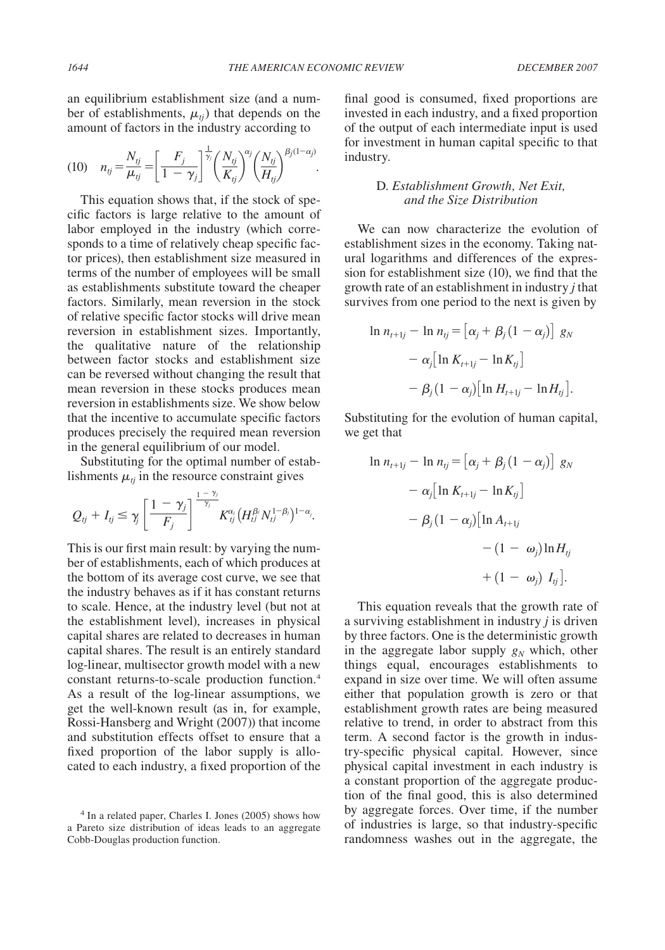(10) 
$$
n_{ij} = \frac{N_{ij}}{\mu_{ij}} = \left[\frac{F_j}{1 - \gamma_j}\right]^{\frac{1}{\gamma_j}} \left(\frac{N_{ij}}{K_{ij}}\right)^{\alpha_j} \left(\frac{N_{ij}}{H_{ij}}\right)^{\beta_j(1 - \alpha_j)}.
$$

This equation shows that, if the stock of specific factors is large relative to the amount of labor employed in the industry (which corresponds to a time of relatively cheap specific factor prices), then establishment size measured in terms of the number of employees will be small as establishments substitute toward the cheaper factors. Similarly, mean reversion in the stock of relative specific factor stocks will drive mean reversion in establishment sizes. Importantly, the qualitative nature of the relationship between factor stocks and establishment size can be reversed without changing the result that mean reversion in these stocks produces mean reversion in establishments size. We show below that the incentive to accumulate specific factors produces precisely the required mean reversion in the general equilibrium of our model.

Substituting for the optimal number of establishments  $\mu_{ti}$  in the resource constraint gives

$$
Q_{ij}+I_{ij}\leq \gamma_j\left[\frac{1-\gamma_j}{F_j}\right]^{\frac{1-\gamma_j}{\gamma_j}}K_{ij}^{\alpha_j}\big(H_{ij}^{\beta_j}N_{ij}^{1-\beta_j}\big)^{1-\alpha_j}.
$$

This is our first main result: by varying the number of establishments, each of which produces at the bottom of its average cost curve, we see that the industry behaves as if it has constant returns to scale. Hence, at the industry level (but not at the establishment level), increases in physical capital shares are related to decreases in human capital shares. The result is an entirely standard log-linear, multisector growth model with a new constant returns-to-scale production function. As a result of the log-linear assumptions, we get the well-known result (as in, for example, Rossi-Hansberg and Wright (2007)) that income and substitution effects offset to ensure that a fixed proportion of the labor supply is allocated to each industry, a fixed proportion of the

final good is consumed, fixed proportions are invested in each industry, and a fixed proportion of the output of each intermediate input is used for investment in human capital specific to that industry.

## D. *Establishment Growth, Net Exit, and the Size Distribution*

We can now characterize the evolution of establishment sizes in the economy. Taking natural logarithms and differences of the expression for establishment size (10), we find that the growth rate of an establishment in industry *j* that survives from one period to the next is given by

$$
\ln n_{t+1j} - \ln n_{tj} = \left[\alpha_j + \beta_j (1 - \alpha_j)\right] g_N
$$

$$
- \alpha_j \left[\ln K_{t+1j} - \ln K_{tj}\right]
$$

$$
- \beta_j (1 - \alpha_j) \left[\ln H_{t+1j} - \ln H_{tj}\right].
$$

Substituting for the evolution of human capital, we get that

$$
\ln n_{t+1j} - \ln n_{tj} = \left[\alpha_j + \beta_j (1 - \alpha_j)\right] g_N
$$
  

$$
- \alpha_j \left[\ln K_{t+1j} - \ln K_{tj}\right]
$$
  

$$
- \beta_j (1 - \alpha_j) \left[\ln A_{t+1j} - (1 - \omega_j)\ln H_{tj}\right]
$$
  

$$
+ (1 - \omega_j) I_{tj} \right].
$$

This equation reveals that the growth rate of a surviving establishment in industry *j* is driven by three factors. One is the deterministic growth in the aggregate labor supply  $g_N$  which, other things equal, encourages establishments to expand in size over time. We will often assume either that population growth is zero or that establishment growth rates are being measured relative to trend, in order to abstract from this term. A second factor is the growth in industry-specific physical capital. However, since physical capital investment in each industry is a constant proportion of the aggregate production of the final good, this is also determined by aggregate forces. Over time, if the number of industries is large, so that industry-specific randomness washes out in the aggregate, the

 $<sup>4</sup>$  In a related paper, Charles I. Jones (2005) shows how</sup> a Pareto size distribution of ideas leads to an aggregate Cobb-Douglas production function.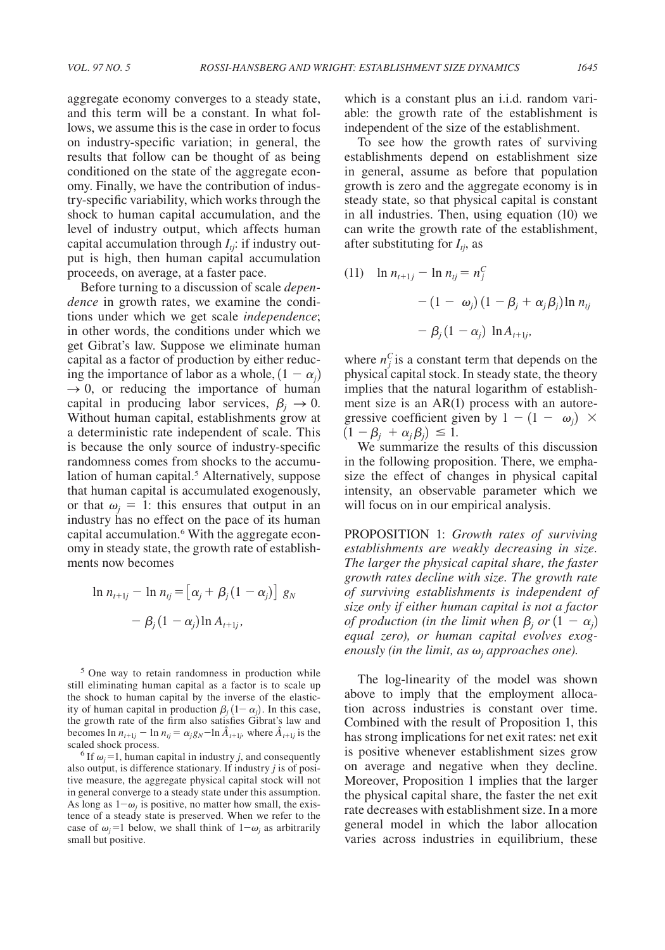aggregate economy converges to a steady state, and this term will be a constant. In what follows, we assume this is the case in order to focus on industry-specific variation; in general, the results that follow can be thought of as being conditioned on the state of the aggregate economy. Finally, we have the contribution of industry-specific variability, which works through the shock to human capital accumulation, and the level of industry output, which affects human capital accumulation through  $I_{ti}$ : if industry output is high, then human capital accumulation proceeds, on average, at a faster pace.

Before turning to a discussion of scale *dependence* in growth rates, we examine the conditions under which we get scale *independence*; in other words, the conditions under which we get Gibrat's law. Suppose we eliminate human capital as a factor of production by either reducing the importance of labor as a whole,  $(1 - \alpha_i)$  $\rightarrow$  0, or reducing the importance of human capital in producing labor services,  $\beta_i \rightarrow 0$ . Without human capital, establishments grow at a deterministic rate independent of scale. This is because the only source of industry-specific randomness comes from shocks to the accumulation of human capital.<sup>5</sup> Alternatively, suppose that human capital is accumulated exogenously, or that  $\omega_i = 1$ : this ensures that output in an industry has no effect on the pace of its human capital accumulation. With the aggregate economy in steady state, the growth rate of establishments now becomes

$$
\ln n_{t+1j} - \ln n_{tj} = \left[ \alpha_j + \beta_j (1 - \alpha_j) \right] g_N
$$

$$
- \beta_j (1 - \alpha_j) \ln A_{t+1j},
$$

<sup>5</sup> One way to retain randomness in production while still eliminating human capital as a factor is to scale up the shock to human capital by the inverse of the elasticity of human capital in production  $\beta$ <sub>*i*</sub> (1- $\alpha$ <sub>*i*</sub>). In this case, the growth rate of the firm also satisfies Gibrat's law and becomes  $\ln n_{t+1j} - \ln n_{tj} = \alpha_j g_N - \ln \hat{A}_{t+1j}$ , where  $\hat{A}_{t+1j}$  is the scaled shock process.

<sup>6</sup> If  $\omega$ <sub>*j*</sub>=1, human capital in industry *j*, and consequently also output, is difference stationary. If industry *j* is of positive measure, the aggregate physical capital stock will not in general converge to a steady state under this assumption. As long as  $1-\omega_i$  is positive, no matter how small, the existence of a steady state is preserved. When we refer to the case of  $\omega_j = 1$  below, we shall think of  $1 - \omega_j$  as arbitrarily small but positive.

which is a constant plus an i.i.d. random variable: the growth rate of the establishment is independent of the size of the establishment.

To see how the growth rates of surviving establishments depend on establishment size in general, assume as before that population growth is zero and the aggregate economy is in steady state, so that physical capital is constant in all industries. Then, using equation (10) we can write the growth rate of the establishment, after substituting for  $I_{ti}$ , as

(11) 
$$
\ln n_{t+1j} - \ln n_{tj} = n_j^C
$$

$$
- (1 - \omega_j) (1 - \beta_j + \alpha_j \beta_j) \ln n_{tj}
$$

$$
- \beta_j (1 - \alpha_j) \ln A_{t+1j},
$$

where  $n_j^C$  is a constant term that depends on the physical capital stock. In steady state, the theory implies that the natural logarithm of establishment size is an AR(1) process with an autoregressive coefficient given by  $1 - (1 - \omega_i) \times$  $(1 - \beta_i + \alpha_i \beta_i) \leq 1.$ 

We summarize the results of this discussion in the following proposition. There, we emphasize the effect of changes in physical capital intensity, an observable parameter which we will focus on in our empirical analysis.

Proposition 1: *Growth rates of surviving establishments are weakly decreasing in size. The larger the physical capital share, the faster growth rates decline with size. The growth rate of surviving establishments is independent of size only if either human capital is not a factor of production (in the limit when*  $\beta_j$  *or*  $(1 - \alpha_j)$ *equal zero), or human capital evolves exog* $enously$  (in the limit, as  $\omega_j$  approaches one).

The log-linearity of the model was shown above to imply that the employment allocation across industries is constant over time. Combined with the result of Proposition 1, this has strong implications for net exit rates: net exit is positive whenever establishment sizes grow on average and negative when they decline. Moreover, Proposition 1 implies that the larger the physical capital share, the faster the net exit rate decreases with establishment size. In a more general model in which the labor allocation varies across industries in equilibrium, these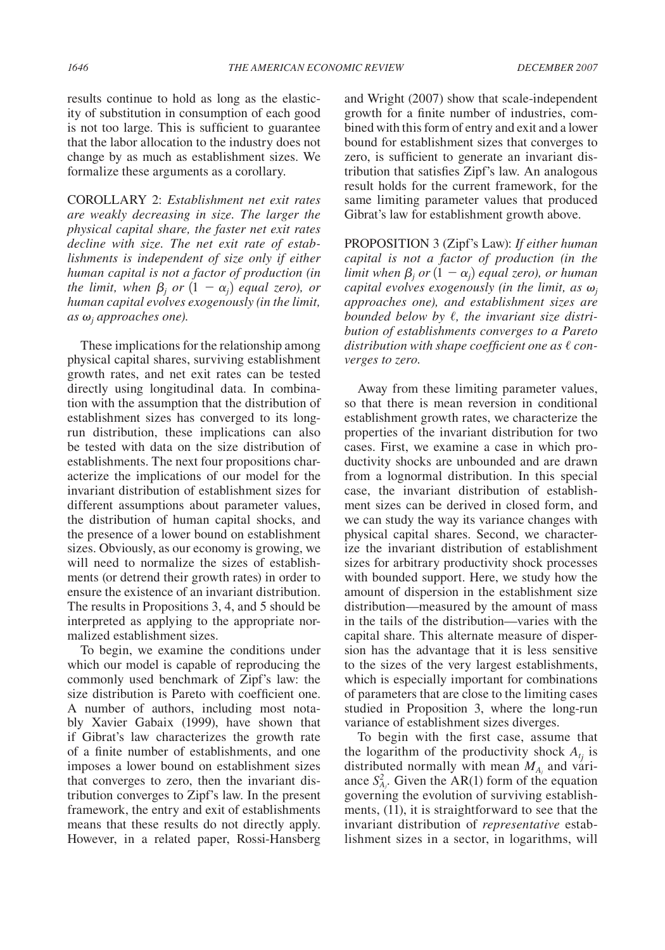results continue to hold as long as the elasticity of substitution in consumption of each good is not too large. This is sufficient to guarantee that the labor allocation to the industry does not change by as much as establishment sizes. We formalize these arguments as a corollary.

Corollary 2: *Establishment net exit rates are weakly decreasing in size. The larger the physical capital share, the faster net exit rates decline with size. The net exit rate of establishments is independent of size only if either human capital is not a factor of production (in the limit, when*  $\beta_j$  *or*  $(1 - \alpha_j)$  *equal zero), or human capital evolves exogenously (in the limit,*  as ω<sub>j</sub> approaches one).

These implications for the relationship among physical capital shares, surviving establishment growth rates, and net exit rates can be tested directly using longitudinal data. In combination with the assumption that the distribution of establishment sizes has converged to its longrun distribution, these implications can also be tested with data on the size distribution of establishments. The next four propositions characterize the implications of our model for the invariant distribution of establishment sizes for different assumptions about parameter values, the distribution of human capital shocks, and the presence of a lower bound on establishment sizes. Obviously, as our economy is growing, we will need to normalize the sizes of establishments (or detrend their growth rates) in order to ensure the existence of an invariant distribution. The results in Propositions 3, 4, and 5 should be interpreted as applying to the appropriate normalized establishment sizes.

To begin, we examine the conditions under which our model is capable of reproducing the commonly used benchmark of Zipf's law: the size distribution is Pareto with coefficient one. A number of authors, including most notably Xavier Gabaix (1999), have shown that if Gibrat's law characterizes the growth rate of a finite number of establishments, and one imposes a lower bound on establishment sizes that converges to zero, then the invariant distribution converges to Zipf's law. In the present framework, the entry and exit of establishments means that these results do not directly apply. However, in a related paper, Rossi-Hansberg and Wright (2007) show that scale-independent growth for a finite number of industries, combined with this form of entry and exit and a lower bound for establishment sizes that converges to zero, is sufficient to generate an invariant distribution that satisfies Zipf's law. An analogous result holds for the current framework, for the same limiting parameter values that produced Gibrat's law for establishment growth above.

Proposition 3 (Zipf's Law): *If either human capital is not a factor of production (in the limit when*  $\beta_j$  *or*  $(1 - \alpha_j)$  *equal zero), or human capital evolves exogenously (in the limit, as*  $\omega_i$ *approaches one), and establishment sizes are bounded below by* /*, the invariant size distribution of establishments converges to a Pareto distribution with shape coefficient one as* / *converges to zero.*

Away from these limiting parameter values, so that there is mean reversion in conditional establishment growth rates, we characterize the properties of the invariant distribution for two cases. First, we examine a case in which productivity shocks are unbounded and are drawn from a lognormal distribution. In this special case, the invariant distribution of establishment sizes can be derived in closed form, and we can study the way its variance changes with physical capital shares. Second, we characterize the invariant distribution of establishment sizes for arbitrary productivity shock processes with bounded support. Here, we study how the amount of dispersion in the establishment size distribution—measured by the amount of mass in the tails of the distribution—varies with the capital share. This alternate measure of dispersion has the advantage that it is less sensitive to the sizes of the very largest establishments, which is especially important for combinations of parameters that are close to the limiting cases studied in Proposition 3, where the long-run variance of establishment sizes diverges.

To begin with the first case, assume that the logarithm of the productivity shock  $A_{tj}$  is distributed normally with mean  $M_{A_i}$  and variance  $S_{A_j}^2$ . Given the AR(1) form of the equation governing the evolution of surviving establishments, (11), it is straightforward to see that the invariant distribution of *representative* establishment sizes in a sector, in logarithms, will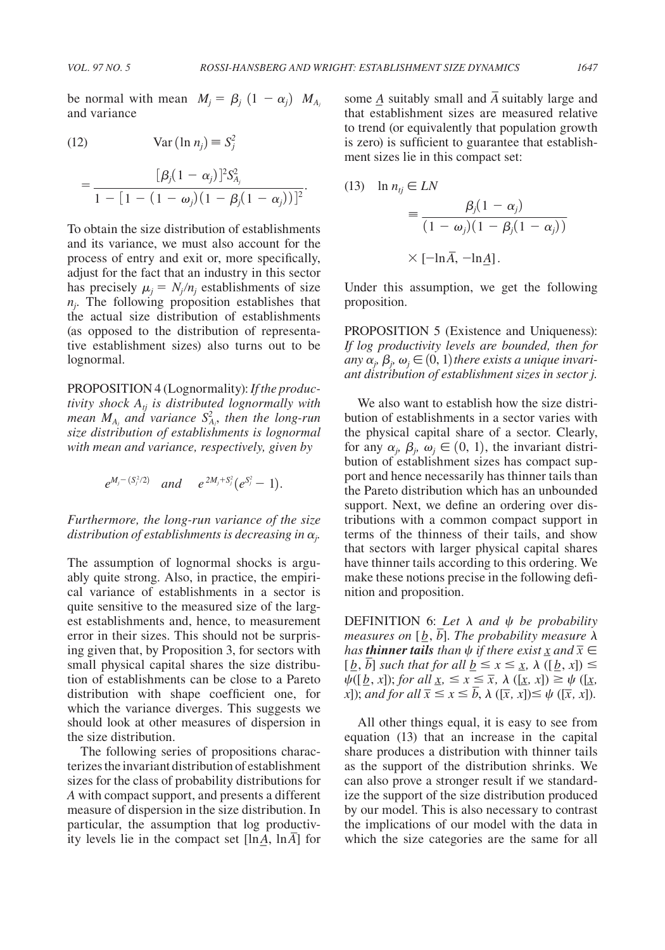be normal with mean  $M_i = \beta_i (1 - \alpha_i) M_{A_i}$ and variance

(12)  $\text{Var}(\ln n_j) \equiv S_j^2$ 

$$
= \frac{[\beta_j(1-\alpha_j)]^2 S_{A_j}^2}{1 - [1 - (1-\omega_j)(1-\beta_j(1-\alpha_j))]^2}.
$$

To obtain the size distribution of establishments and its variance, we must also account for the process of entry and exit or, more specifically, adjust for the fact that an industry in this sector has precisely  $\mu_j = N_j/n_j$  establishments of size  $n_j$ . The following proposition establishes that the actual size distribution of establishments (as opposed to the distribution of representative establishment sizes) also turns out to be lognormal.

Proposition 4 (Lognormality):*If the productivity shock*  $A_{tj}$  *is distributed lognormally with mean*  $M_{A_j}$  *and variance*  $S_{A_j}^2$ *, then the long-run size distribution of establishments is lognormal with mean and variance, respectively, given by*

$$
e^{M_j-(S_j^2/2)}
$$
 and  $e^{2M_j+S_j^2}(e^{S_j^2}-1)$ .

*Furthermore, the long-run variance of the size distribution of establishments is decreasing in* a*<sup>j</sup> .*

The assumption of lognormal shocks is arguably quite strong. Also, in practice, the empirical variance of establishments in a sector is quite sensitive to the measured size of the largest establishments and, hence, to measurement error in their sizes. This should not be surprising given that, by Proposition 3, for sectors with small physical capital shares the size distribution of establishments can be close to a Pareto distribution with shape coefficient one, for which the variance diverges. This suggests we should look at other measures of dispersion in the size distribution.

The following series of propositions characterizes the invariant distribution of establishment sizes for the class of probability distributions for *A* with compact support, and presents a different measure of dispersion in the size distribution. In particular, the assumption that log productiv-*\_* ity levels lie in the compact set  $[\ln A, \ln \overline{A}]$  for some  $\underline{A}$  suitably small and  $\overline{A}$ *\_* suitably large and that establishment sizes are measured relative to trend (or equivalently that population growth is zero) is sufficient to guarantee that establishment sizes lie in this compact set:

(13) 
$$
\ln n_{ij} \in LN
$$

$$
\equiv \frac{\beta_j (1 - \alpha_j)}{(1 - \omega_j)(1 - \beta_j (1 - \alpha_j))}
$$

$$
\times [-\ln \overline{A}, -\ln \underline{A}].
$$

Under this assumption, we get the following proposition.

PROPOSITION 5 (Existence and Uniqueness): *If log productivity levels are bounded, then for*  any  $\alpha_j$ ,  $\beta_j$ ,  $\omega_j \in (0, 1)$  there exists a unique invari*ant distribution of establishment sizes in sector j.*

We also want to establish how the size distribution of establishments in a sector varies with the physical capital share of a sector. Clearly, for any  $\alpha_j$ ,  $\beta_j$ ,  $\omega_j \in (0, 1)$ , the invariant distribution of establishment sizes has compact support and hence necessarily has thinner tails than the Pareto distribution which has an unbounded support. Next, we define an ordering over distributions with a common compact support in terms of the thinness of their tails, and show that sectors with larger physical capital shares have thinner tails according to this ordering. We make these notions precise in the following definition and proposition.

DEFINITION 6: Let  $\lambda$  and  $\psi$  be probability *measures on*  $[\underline{b}, \overline{b}]$ . The probability measure  $\lambda$ *has thinner tails than*  $\psi$  *if there exist <u>x</u> and*  $\overline{x} \in$  $[\underline{b}, \overline{b}]$  such that for all  $\underline{b} \leq x \leq \underline{x}, \lambda ([\underline{b}, x]) \leq$  $\psi([b, x]);$  for all  $\underline{x}, \leq x \leq \overline{x}, \lambda ([\underline{x}, x]) \geq \psi([\underline{x}, x])$  $\psi([D_x, x])$ ; *for all*  $\underline{x} \leq x \leq x$ ,  $\lambda([x, x]) \leq \psi([x, x])$ .<br> *x*]); *and for all*  $\overline{x} \leq x \leq \overline{b}$ ,  $\lambda([x, x]) \leq \psi([x, x])$ .

All other things equal, it is easy to see from equation (13) that an increase in the capital share produces a distribution with thinner tails as the support of the distribution shrinks. We can also prove a stronger result if we standardize the support of the size distribution produced by our model. This is also necessary to contrast the implications of our model with the data in which the size categories are the same for all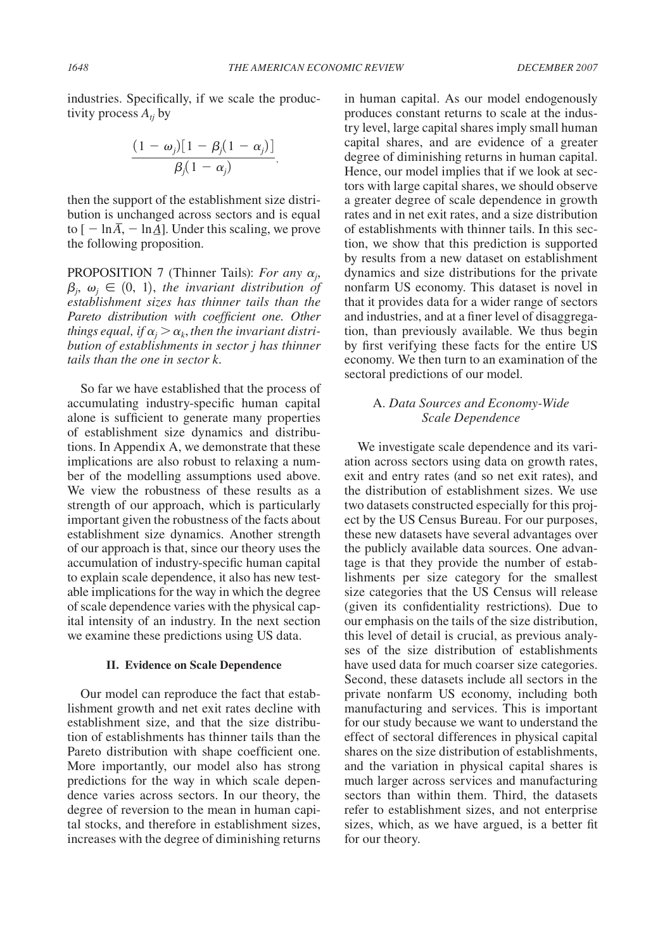industries. Specifically, if we scale the productivity process  $A_{ti}$  by

$$
\frac{(1-\omega_j)[1-\beta_j(1-\alpha_j)]}{\beta_j(1-\alpha_j)},
$$

then the support of the establishment size distribution is unchanged across sectors and is equal *\_* to  $[-\ln\overline{A}, -\ln\underline{A}]$ . Under this scaling, we prove the following proposition.

PROPOSITION 7 (Thinner Tails): *For any*  $\alpha_j$ ,  $\beta_j$ ,  $\omega_j \in (0, 1)$ , the invariant distribution of *establishment sizes has thinner tails than the Pareto distribution with coefficient one. Other things equal, if*  $\alpha_i > \alpha_k$ *, then the invariant distribution of establishments in sector j has thinner tails than the one in sector k.*

So far we have established that the process of accumulating industry-specific human capital alone is sufficient to generate many properties of establishment size dynamics and distributions. In Appendix A, we demonstrate that these implications are also robust to relaxing a number of the modelling assumptions used above. We view the robustness of these results as a strength of our approach, which is particularly important given the robustness of the facts about establishment size dynamics. Another strength of our approach is that, since our theory uses the accumulation of industry-specific human capital to explain scale dependence, it also has new testable implications for the way in which the degree of scale dependence varies with the physical capital intensity of an industry. In the next section we examine these predictions using US data.

#### **II. Evidence on Scale Dependence**

Our model can reproduce the fact that establishment growth and net exit rates decline with establishment size, and that the size distribution of establishments has thinner tails than the Pareto distribution with shape coefficient one. More importantly, our model also has strong predictions for the way in which scale dependence varies across sectors. In our theory, the degree of reversion to the mean in human capital stocks, and therefore in establishment sizes, increases with the degree of diminishing returns in human capital. As our model endogenously produces constant returns to scale at the industry level, large capital shares imply small human capital shares, and are evidence of a greater degree of diminishing returns in human capital. Hence, our model implies that if we look at sectors with large capital shares, we should observe a greater degree of scale dependence in growth rates and in net exit rates, and a size distribution of establishments with thinner tails. In this section, we show that this prediction is supported by results from a new dataset on establishment dynamics and size distributions for the private nonfarm US economy. This dataset is novel in that it provides data for a wider range of sectors and industries, and at a finer level of disaggregation, than previously available. We thus begin by first verifying these facts for the entire US economy. We then turn to an examination of the sectoral predictions of our model.

## A. *Data Sources and Economy-Wide Scale Dependence*

We investigate scale dependence and its variation across sectors using data on growth rates, exit and entry rates (and so net exit rates), and the distribution of establishment sizes. We use two datasets constructed especially for this project by the US Census Bureau. For our purposes, these new datasets have several advantages over the publicly available data sources. One advantage is that they provide the number of establishments per size category for the smallest size categories that the US Census will release (given its confidentiality restrictions). Due to our emphasis on the tails of the size distribution, this level of detail is crucial, as previous analyses of the size distribution of establishments have used data for much coarser size categories. Second, these datasets include all sectors in the private nonfarm US economy, including both manufacturing and services. This is important for our study because we want to understand the effect of sectoral differences in physical capital shares on the size distribution of establishments, and the variation in physical capital shares is much larger across services and manufacturing sectors than within them. Third, the datasets refer to establishment sizes, and not enterprise sizes, which, as we have argued, is a better fit for our theory.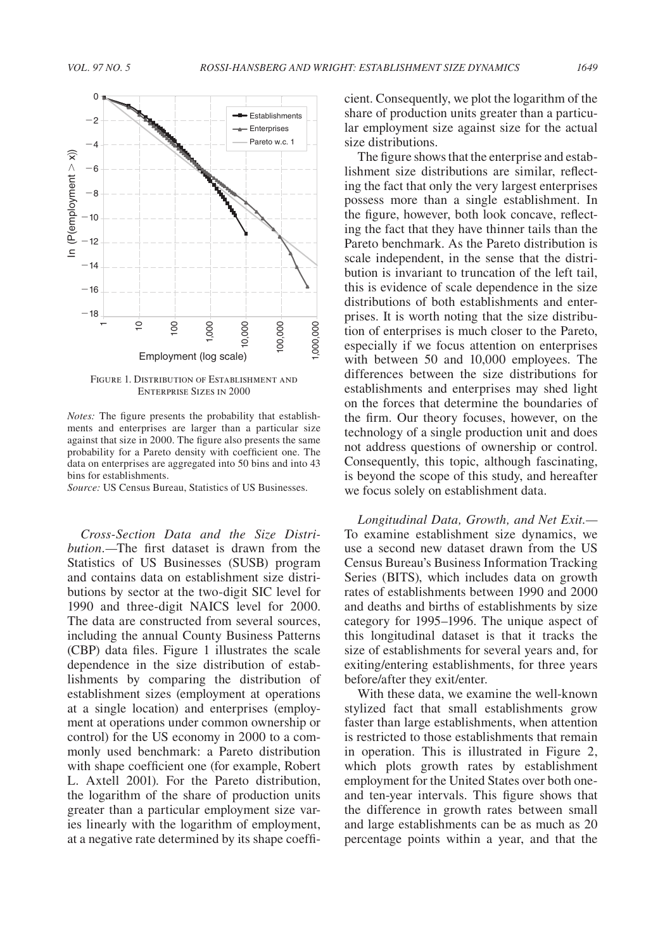

Figure 1. Distribution of Establishment and Enterprise Sizes in 2000

*Notes:* The figure presents the probability that establishments and enterprises are larger than a particular size against that size in 2000. The figure also presents the same probability for a Pareto density with coefficient one. The data on enterprises are aggregated into 50 bins and into 43 bins for establishments.

*Source:* US Census Bureau, Statistics of US Businesses.

*Cross-Section Data and the Size Distribution.—*The first dataset is drawn from the Statistics of US Businesses (SUSB) program and contains data on establishment size distributions by sector at the two-digit SIC level for 1990 and three-digit NAICS level for 2000. The data are constructed from several sources, including the annual County Business Patterns (CBP) data files. Figure 1 illustrates the scale dependence in the size distribution of establishments by comparing the distribution of establishment sizes (employment at operations at a single location) and enterprises (employment at operations under common ownership or control) for the US economy in 2000 to a commonly used benchmark: a Pareto distribution with shape coefficient one (for example, Robert L. Axtell 2001). For the Pareto distribution, the logarithm of the share of production units greater than a particular employment size varies linearly with the logarithm of employment, at a negative rate determined by its shape coefficient. Consequently, we plot the logarithm of the share of production units greater than a particular employment size against size for the actual size distributions.

The figure shows that the enterprise and establishment size distributions are similar, reflecting the fact that only the very largest enterprises possess more than a single establishment. In the figure, however, both look concave, reflecting the fact that they have thinner tails than the Pareto benchmark. As the Pareto distribution is scale independent, in the sense that the distribution is invariant to truncation of the left tail, this is evidence of scale dependence in the size distributions of both establishments and enterprises. It is worth noting that the size distribution of enterprises is much closer to the Pareto, especially if we focus attention on enterprises with between 50 and 10,000 employees. The differences between the size distributions for establishments and enterprises may shed light on the forces that determine the boundaries of the firm. Our theory focuses, however, on the technology of a single production unit and does not address questions of ownership or control. Consequently, this topic, although fascinating, is beyond the scope of this study, and hereafter we focus solely on establishment data.

*Longitudinal Data, Growth, and Net Exit.—* To examine establishment size dynamics, we use a second new dataset drawn from the US Census Bureau's Business Information Tracking Series (BITS), which includes data on growth rates of establishments between 1990 and 2000 and deaths and births of establishments by size category for 1995–1996. The unique aspect of this longitudinal dataset is that it tracks the size of establishments for several years and, for exiting/entering establishments, for three years before/after they exit/enter.

With these data, we examine the well-known stylized fact that small establishments grow faster than large establishments, when attention is restricted to those establishments that remain in operation. This is illustrated in Figure 2, which plots growth rates by establishment employment for the United States over both oneand ten-year intervals. This figure shows that the difference in growth rates between small and large establishments can be as much as 20 percentage points within a year, and that the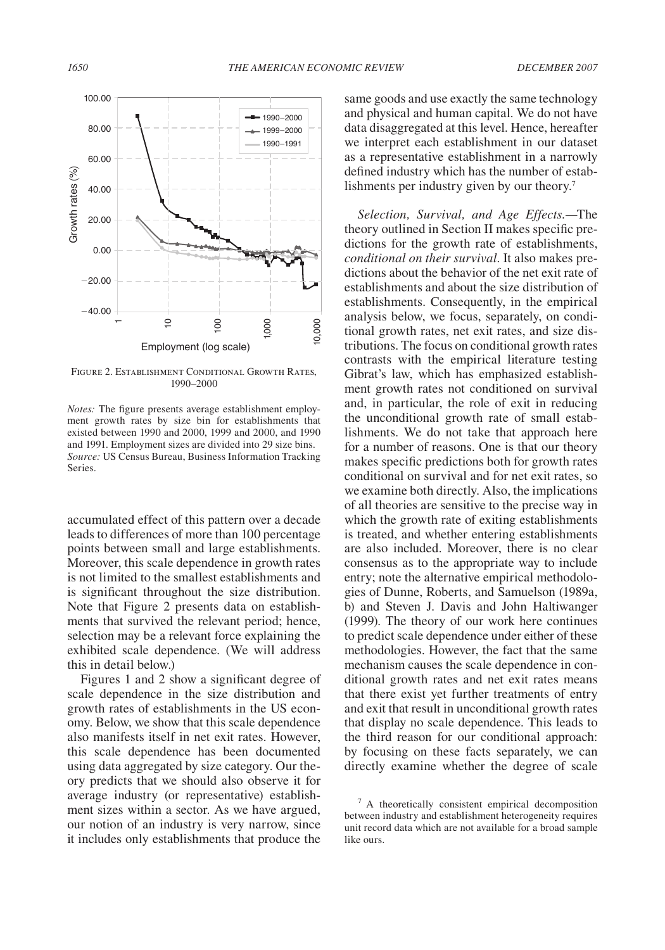

FIGURE 2. ESTABLISHMENT CONDITIONAL GROWTH RATES. 1990–2000

*Notes:* The figure presents average establishment employment growth rates by size bin for establishments that existed between 1990 and 2000, 1999 and 2000, and 1990 and 1991. Employment sizes are divided into 29 size bins. *Source:* US Census Bureau, Business Information Tracking Series.

accumulated effect of this pattern over a decade leads to differences of more than 100 percentage points between small and large establishments. Moreover, this scale dependence in growth rates is not limited to the smallest establishments and is significant throughout the size distribution. Note that Figure 2 presents data on establishments that survived the relevant period; hence, selection may be a relevant force explaining the exhibited scale dependence. (We will address this in detail below.)

Figures 1 and 2 show a significant degree of scale dependence in the size distribution and growth rates of establishments in the US economy. Below, we show that this scale dependence also manifests itself in net exit rates. However, this scale dependence has been documented using data aggregated by size category. Our theory predicts that we should also observe it for average industry (or representative) establishment sizes within a sector. As we have argued, our notion of an industry is very narrow, since it includes only establishments that produce the

same goods and use exactly the same technology and physical and human capital. We do not have data disaggregated at this level. Hence, hereafter we interpret each establishment in our dataset as a representative establishment in a narrowly defined industry which has the number of establishments per industry given by our theory.<sup>7</sup>

*Selection, Survival, and Age Effects.—*The theory outlined in Section II makes specific predictions for the growth rate of establishments, *conditional on their survival*. It also makes predictions about the behavior of the net exit rate of establishments and about the size distribution of establishments. Consequently, in the empirical analysis below, we focus, separately, on conditional growth rates, net exit rates, and size distributions. The focus on conditional growth rates contrasts with the empirical literature testing Gibrat's law, which has emphasized establishment growth rates not conditioned on survival and, in particular, the role of exit in reducing the unconditional growth rate of small establishments. We do not take that approach here for a number of reasons. One is that our theory makes specific predictions both for growth rates conditional on survival and for net exit rates, so we examine both directly. Also, the implications of all theories are sensitive to the precise way in which the growth rate of exiting establishments is treated, and whether entering establishments are also included. Moreover, there is no clear consensus as to the appropriate way to include entry; note the alternative empirical methodologies of Dunne, Roberts, and Samuelson (1989a, b) and Steven J. Davis and John Haltiwanger (1999). The theory of our work here continues to predict scale dependence under either of these methodologies. However, the fact that the same mechanism causes the scale dependence in conditional growth rates and net exit rates means that there exist yet further treatments of entry and exit that result in unconditional growth rates that display no scale dependence. This leads to the third reason for our conditional approach: by focusing on these facts separately, we can directly examine whether the degree of scale

 $\alpha$  A theoretically consistent empirical decomposition between industry and establishment heterogeneity requires unit record data which are not available for a broad sample like ours.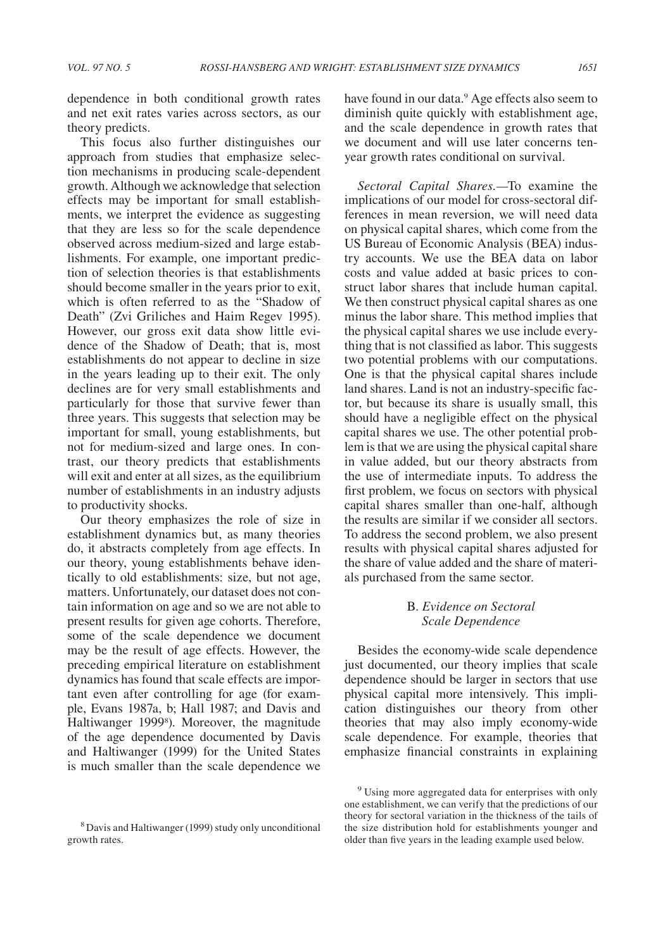dependence in both conditional growth rates and net exit rates varies across sectors, as our theory predicts.

This focus also further distinguishes our approach from studies that emphasize selection mechanisms in producing scale-dependent growth. Although we acknowledge that selection effects may be important for small establishments, we interpret the evidence as suggesting that they are less so for the scale dependence observed across medium-sized and large establishments. For example, one important prediction of selection theories is that establishments should become smaller in the years prior to exit, which is often referred to as the "Shadow of Death" (Zvi Griliches and Haim Regev 1995). However, our gross exit data show little evidence of the Shadow of Death; that is, most establishments do not appear to decline in size in the years leading up to their exit. The only declines are for very small establishments and particularly for those that survive fewer than three years. This suggests that selection may be important for small, young establishments, but not for medium-sized and large ones. In contrast, our theory predicts that establishments will exit and enter at all sizes, as the equilibrium number of establishments in an industry adjusts to productivity shocks.

Our theory emphasizes the role of size in establishment dynamics but, as many theories do, it abstracts completely from age effects. In our theory, young establishments behave identically to old establishments: size, but not age, matters. Unfortunately, our dataset does not contain information on age and so we are not able to present results for given age cohorts. Therefore, some of the scale dependence we document may be the result of age effects. However, the preceding empirical literature on establishment dynamics has found that scale effects are important even after controlling for age (for example, Evans 1987a, b; Hall 1987; and Davis and Haltiwanger 1999<sup>8</sup>). Moreover, the magnitude of the age dependence documented by Davis and Haltiwanger (1999) for the United States is much smaller than the scale dependence we

Davis and Haltiwanger (1999) study only unconditional growth rates.

have found in our data.<sup>9</sup> Age effects also seem to diminish quite quickly with establishment age, and the scale dependence in growth rates that we document and will use later concerns tenyear growth rates conditional on survival.

*Sectoral Capital Shares.—*To examine the implications of our model for cross-sectoral differences in mean reversion, we will need data on physical capital shares, which come from the US Bureau of Economic Analysis (BEA) industry accounts. We use the BEA data on labor costs and value added at basic prices to construct labor shares that include human capital. We then construct physical capital shares as one minus the labor share. This method implies that the physical capital shares we use include everything that is not classified as labor. This suggests two potential problems with our computations. One is that the physical capital shares include land shares. Land is not an industry-specific factor, but because its share is usually small, this should have a negligible effect on the physical capital shares we use. The other potential problem is that we are using the physical capital share in value added, but our theory abstracts from the use of intermediate inputs. To address the first problem, we focus on sectors with physical capital shares smaller than one-half, although the results are similar if we consider all sectors. To address the second problem, we also present results with physical capital shares adjusted for the share of value added and the share of materials purchased from the same sector.

## B. *Evidence on Sectoral Scale Dependence*

Besides the economy-wide scale dependence just documented, our theory implies that scale dependence should be larger in sectors that use physical capital more intensively. This implication distinguishes our theory from other theories that may also imply economy-wide scale dependence. For example, theories that emphasize financial constraints in explaining

<sup>&</sup>lt;sup>9</sup> Using more aggregated data for enterprises with only one establishment, we can verify that the predictions of our theory for sectoral variation in the thickness of the tails of the size distribution hold for establishments younger and older than five years in the leading example used below.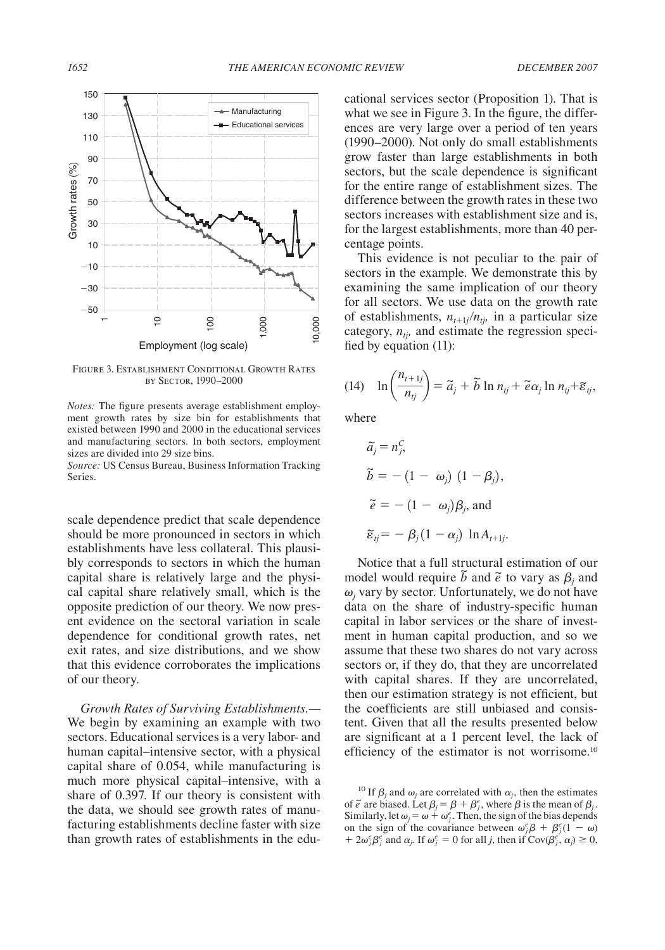

Figure 3. Establishment Conditional Growth Rates by Sector, 1990–2000

*Notes:* The figure presents average establishment employment growth rates by size bin for establishments that existed between 1990 and 2000 in the educational services and manufacturing sectors. In both sectors, employment sizes are divided into 29 size bins.

*Source:* US Census Bureau, Business Information Tracking Series.

scale dependence predict that scale dependence should be more pronounced in sectors in which establishments have less collateral. This plausibly corresponds to sectors in which the human capital share is relatively large and the physical capital share relatively small, which is the opposite prediction of our theory. We now present evidence on the sectoral variation in scale dependence for conditional growth rates, net exit rates, and size distributions, and we show that this evidence corroborates the implications of our theory.

*Growth Rates of Surviving Establishments.—* We begin by examining an example with two sectors. Educational services is a very labor- and human capital–intensive sector, with a physical capital share of 0.054, while manufacturing is much more physical capital–intensive, with a share of 0.397. If our theory is consistent with the data, we should see growth rates of manufacturing establishments decline faster with size than growth rates of establishments in the educational services sector (Proposition 1). That is what we see in Figure 3. In the figure, the differences are very large over a period of ten years (1990–2000). Not only do small establishments grow faster than large establishments in both sectors, but the scale dependence is significant for the entire range of establishment sizes. The difference between the growth rates in these two sectors increases with establishment size and is, for the largest establishments, more than 40 percentage points.

This evidence is not peculiar to the pair of sectors in the example. We demonstrate this by examining the same implication of our theory for all sectors. We use data on the growth rate of establishments,  $n_{t+1j}/n_{tj}$ , in a particular size category,  $n_{t}$  and estimate the regression specified by equation (11):

(14) 
$$
\ln\left(\frac{n_{t+1j}}{n_{tj}}\right) = \widetilde{a}_j + \widetilde{b} \ln n_{tj} + \widetilde{e} \alpha_j \ln n_{tj} + \widetilde{\epsilon}_{tj},
$$

where

$$
\tilde{a}_j = n_j^C,
$$
  
\n
$$
\tilde{b} = -(1 - \omega_j) (1 - \beta_j),
$$
  
\n
$$
\tilde{e} = -(1 - \omega_j)\beta_j, \text{ and}
$$
  
\n
$$
\tilde{\varepsilon}_{ij} = -\beta_j (1 - \alpha_j) \ln A_{t+1j}.
$$

Notice that a full structural estimation of our model would require  $\tilde{b}$  and  $\tilde{e}$  to vary as  $\beta_j$  and  $\omega_j$  vary by sector. Unfortunately, we do not have data on the share of industry-specific human capital in labor services or the share of investment in human capital production, and so we assume that these two shares do not vary across sectors or, if they do, that they are uncorrelated with capital shares. If they are uncorrelated, then our estimation strategy is not efficient, but the coefficients are still unbiased and consistent. Given that all the results presented below are significant at a 1 percent level, the lack of efficiency of the estimator is not worrisome.<sup>10</sup>

<sup>&</sup>lt;sup>10</sup> If  $\beta_j$  and  $\omega_j$  are correlated with  $\alpha_j$ , then the estimates of  $\tilde{e}$  are biased. Let  $\beta_j = \beta + \beta_j^e$ , where  $\beta$  is the mean of  $\beta_j$ . Similarly, let  $\omega_j = \omega + \omega_j^e$ . Then, the sign of the bias depends on the sign of the covariance between  $\omega_j^e \beta + \beta_j^e (1 - \omega)$ +  $2\omega_j^e \beta_j^e$  and  $\alpha_j$ . If  $\omega_j^e = 0$  for all *j*, then if Cov( $\beta_j^e$ ,  $\alpha_j$ ) ≥ 0,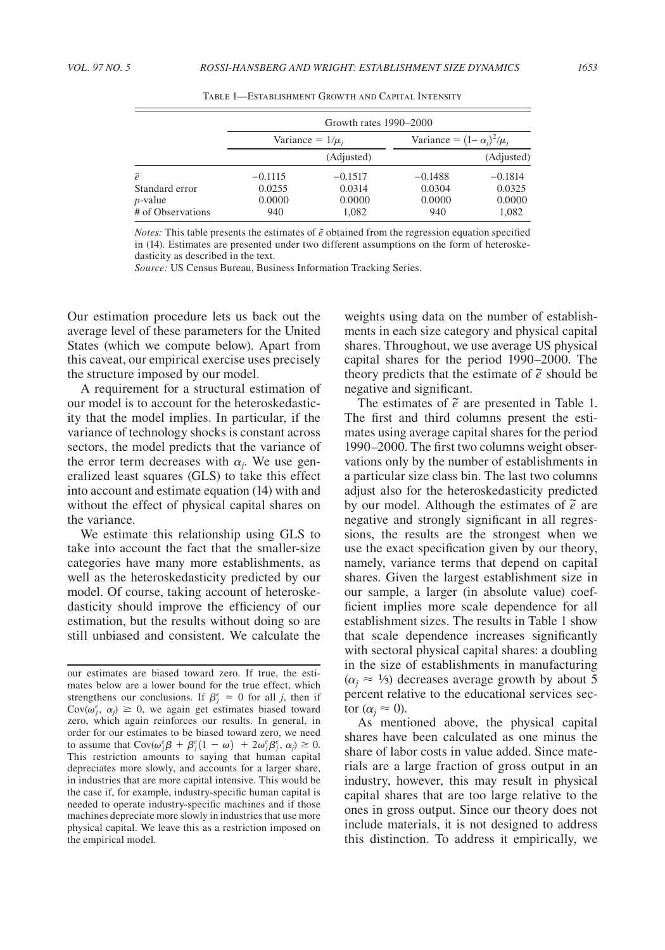|                   | Growth rates 1990–2000 |            |                                   |            |
|-------------------|------------------------|------------|-----------------------------------|------------|
|                   | Variance = $1/\mu_i$   |            | Variance = $(1-\alpha_i)^2/\mu_i$ |            |
|                   |                        | (Adjusted) |                                   | (Adjusted) |
| ĕ                 | $-0.1115$              | $-0.1517$  | $-0.1488$                         | $-0.1814$  |
| Standard error    | 0.0255                 | 0.0314     | 0.0304                            | 0.0325     |
| $p$ -value        | 0.0000                 | 0.0000     | 0.0000                            | 0.0000     |
| # of Observations | 940                    | 1,082      | 940                               | 1,082      |

Table 1—Establishment Growth and Capital Intensity

*Notes:* This table presents the estimates of  $\tilde{e}$  obtained from the regression equation specified in (14). Estimates are presented under two different assumptions on the form of heteroskedasticity as described in the text.

*Source:* US Census Bureau, Business Information Tracking Series.

Our estimation procedure lets us back out the average level of these parameters for the United States (which we compute below). Apart from this caveat, our empirical exercise uses precisely the structure imposed by our model.

A requirement for a structural estimation of our model is to account for the heteroskedasticity that the model implies. In particular, if the variance of technology shocks is constant across sectors, the model predicts that the variance of the error term decreases with  $\alpha_j$ . We use generalized least squares (GLS) to take this effect into account and estimate equation (14) with and without the effect of physical capital shares on the variance.

We estimate this relationship using GLS to take into account the fact that the smaller-size categories have many more establishments, as well as the heteroskedasticity predicted by our model. Of course, taking account of heteroskedasticity should improve the efficiency of our estimation, but the results without doing so are still unbiased and consistent. We calculate the

weights using data on the number of establishments in each size category and physical capital shares. Throughout, we use average US physical capital shares for the period 1990–2000. The theory predicts that the estimate of  $\tilde{e}$  should be negative and significant.

The estimates of  $\tilde{e}$  are presented in Table 1. The first and third columns present the estimates using average capital shares for the period 1990–2000. The first two columns weight observations only by the number of establishments in a particular size class bin. The last two columns adjust also for the heteroskedasticity predicted by our model. Although the estimates of  $\tilde{e}$  are negative and strongly significant in all regressions, the results are the strongest when we use the exact specification given by our theory, namely, variance terms that depend on capital shares. Given the largest establishment size in our sample, a larger (in absolute value) coefficient implies more scale dependence for all establishment sizes. The results in Table 1 show that scale dependence increases significantly with sectoral physical capital shares: a doubling in the size of establishments in manufacturing  $(\alpha_i \approx 1/3)$  decreases average growth by about 5 percent relative to the educational services sector  $(\alpha_i \approx 0)$ .

As mentioned above, the physical capital shares have been calculated as one minus the share of labor costs in value added. Since materials are a large fraction of gross output in an industry, however, this may result in physical capital shares that are too large relative to the ones in gross output. Since our theory does not include materials, it is not designed to address this distinction. To address it empirically, we

our estimates are biased toward zero. If true, the estimates below are a lower bound for the true effect, which strengthens our conclusions. If  $\beta_j^e = 0$  for all *j*, then if  $Cov(\omega_j^e, \alpha_j) \geq 0$ , we again get estimates biased toward zero, which again reinforces our results. In general, in order for our estimates to be biased toward zero, we need to assume that  $Cov(\omega_j^e \beta + \beta_j^e (1 - \omega) + 2\omega_j^e \beta_j^e, \alpha_j) \ge 0.$ This restriction amounts to saying that human capital depreciates more slowly, and accounts for a larger share, in industries that are more capital intensive. This would be the case if, for example, industry-specific human capital is needed to operate industry-specific machines and if those machines depreciate more slowly in industries that use more physical capital. We leave this as a restriction imposed on the empirical model.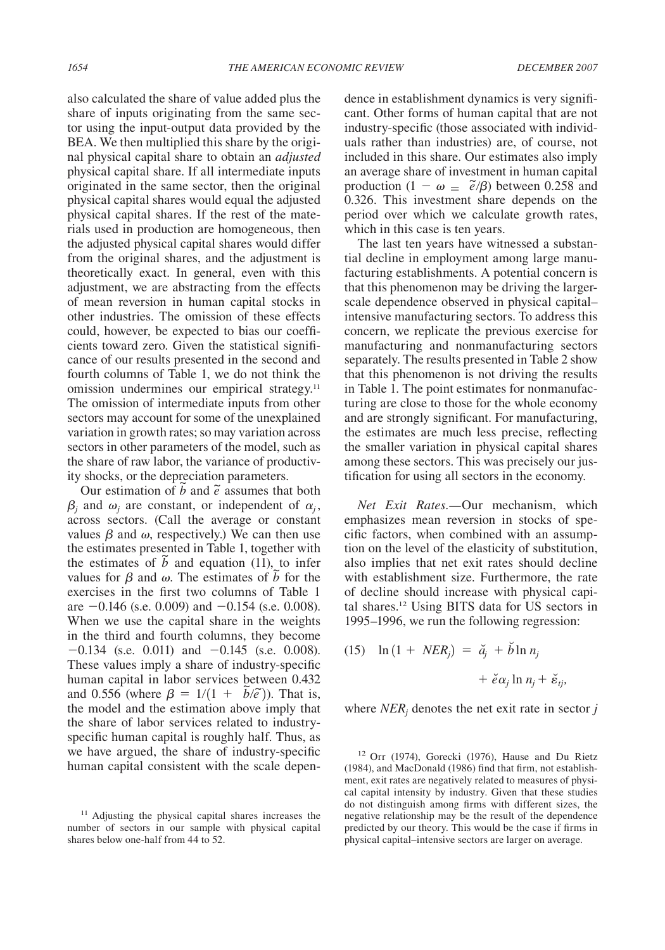also calculated the share of value added plus the share of inputs originating from the same sector using the input-output data provided by the BEA. We then multiplied this share by the original physical capital share to obtain an *adjusted* physical capital share. If all intermediate inputs originated in the same sector, then the original physical capital shares would equal the adjusted physical capital shares. If the rest of the materials used in production are homogeneous, then the adjusted physical capital shares would differ from the original shares, and the adjustment is theoretically exact. In general, even with this adjustment, we are abstracting from the effects of mean reversion in human capital stocks in other industries. The omission of these effects could, however, be expected to bias our coefficients toward zero. Given the statistical significance of our results presented in the second and fourth columns of Table 1, we do not think the omission undermines our empirical strategy.<sup>11</sup> The omission of intermediate inputs from other sectors may account for some of the unexplained variation in growth rates; so may variation across sectors in other parameters of the model, such as the share of raw labor, the variance of productivity shocks, or the depreciation parameters.

Shocks, or the depreciation parameters.<br>Our estimation of  $\tilde{b}$  and  $\tilde{e}$  assumes that both  $\beta_j$  and  $\omega_j$  are constant, or independent of  $\alpha_j$ , across sectors. (Call the average or constant values  $\beta$  and  $\omega$ , respectively.) We can then use the estimates presented in Table 1, together with the estimates of  $\tilde{b}$  and equation (11), to infer the estimates of  $\tilde{b}$  and equation (11), to infer values for  $\beta$  and  $\omega$ . The estimates of  $\ddot{b}$  for the exercises in the first two columns of Table 1 are  $-0.146$  (s.e. 0.009) and  $-0.154$  (s.e. 0.008). When we use the capital share in the weights in the third and fourth columns, they become  $-0.134$  (s.e. 0.011) and  $-0.145$  (s.e. 0.008). These values imply a share of industry-specific human capital in labor services between 0.432 and 0.556 (where  $\beta = 1/(1 + \tilde{b}/\tilde{e})$ ). That is, the model and the estimation above imply that the share of labor services related to industryspecific human capital is roughly half. Thus, as we have argued, the share of industry-specific human capital consistent with the scale dependence in establishment dynamics is very significant. Other forms of human capital that are not industry-specific (those associated with individuals rather than industries) are, of course, not included in this share. Our estimates also imply an average share of investment in human capital production  $(1 - \omega = \tilde{e}/\beta)$  between 0.258 and 0.326. This investment share depends on the period over which we calculate growth rates, which in this case is ten years.

The last ten years have witnessed a substantial decline in employment among large manufacturing establishments. A potential concern is that this phenomenon may be driving the largerscale dependence observed in physical capital– intensive manufacturing sectors. To address this concern, we replicate the previous exercise for manufacturing and nonmanufacturing sectors separately. The results presented in Table 2 show that this phenomenon is not driving the results in Table 1. The point estimates for nonmanufacturing are close to those for the whole economy and are strongly significant. For manufacturing, the estimates are much less precise, reflecting the smaller variation in physical capital shares among these sectors. This was precisely our justification for using all sectors in the economy.

*Net Exit Rates.—*Our mechanism, which emphasizes mean reversion in stocks of specific factors, when combined with an assumption on the level of the elasticity of substitution, also implies that net exit rates should decline with establishment size. Furthermore, the rate of decline should increase with physical capital shares.12 Using BITS data for US sectors in 1995–1996, we run the following regression:

(15) 
$$
\ln (1 + NER_j) = \breve{a}_j + \breve{b} \ln n_j
$$
  
  $+ \breve{e} \alpha_j \ln n_j + \breve{e}_{ij},$ 

where  $NER_j$  denotes the net exit rate in sector  $j$ 

<sup>&</sup>lt;sup>11</sup> Adjusting the physical capital shares increases the number of sectors in our sample with physical capital shares below one-half from 44 to 52.

 $12$  Orr (1974), Gorecki (1976), Hause and Du Rietz (1984), and MacDonald (1986) find that firm, not establishment, exit rates are negatively related to measures of physical capital intensity by industry. Given that these studies do not distinguish among firms with different sizes, the negative relationship may be the result of the dependence predicted by our theory. This would be the case if firms in physical capital–intensive sectors are larger on average.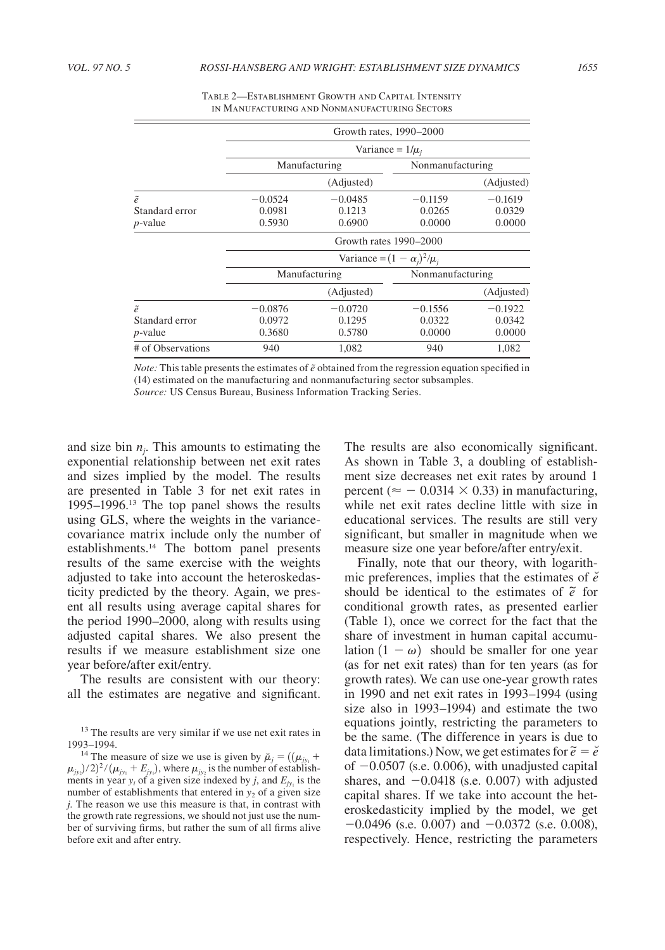|                   | Growth rates, 1990-2000<br>Variance = $1/\mu_i$ |            |                  |            |  |
|-------------------|-------------------------------------------------|------------|------------------|------------|--|
|                   |                                                 |            |                  |            |  |
|                   | Manufacturing                                   |            | Nonmanufacturing |            |  |
|                   |                                                 | (Adjusted) |                  | (Adjusted) |  |
| ē.                | $-0.0524$                                       | $-0.0485$  | $-0.1159$        | $-0.1619$  |  |
| Standard error    | 0.0981                                          | 0.1213     | 0.0265           | 0.0329     |  |
| <i>p</i> -value   | 0.5930                                          | 0.6900     | 0.0000           | 0.0000     |  |
|                   | Growth rates 1990-2000                          |            |                  |            |  |
|                   | Variance = $(1 - \alpha_i)^2 / \mu_i$           |            |                  |            |  |
|                   | Manufacturing                                   |            | Nonmanufacturing |            |  |
|                   |                                                 | (Adjusted) |                  | (Adjusted) |  |
| ē.                | $-0.0876$                                       | $-0.0720$  | $-0.1556$        | $-0.1922$  |  |
| Standard error    | 0.0972                                          | 0.1295     | 0.0322           | 0.0342     |  |
| <i>p</i> -value   | 0.3680                                          | 0.5780     | 0.0000           | 0.0000     |  |
| # of Observations | 940                                             | 1,082      | 940              | 1,082      |  |

Table 2—Establishment Growth and Capital Intensity in Manufacturing and Nonmanufacturing Sectors

*Note:* This table presents the estimates of  $\tilde{e}$  obtained from the regression equation specified in (14) estimated on the manufacturing and nonmanufacturing sector subsamples. *Source:* US Census Bureau, Business Information Tracking Series.

and size bin  $n_j$ . This amounts to estimating the exponential relationship between net exit rates and sizes implied by the model. The results are presented in Table 3 for net exit rates in 1995–1996.13 The top panel shows the results using GLS, where the weights in the variancecovariance matrix include only the number of establishments.<sup>14</sup> The bottom panel presents results of the same exercise with the weights adjusted to take into account the heteroskedasticity predicted by the theory. Again, we present all results using average capital shares for the period 1990–2000, along with results using adjusted capital shares. We also present the results if we measure establishment size one year before/after exit/entry.

The results are consistent with our theory: all the estimates are negative and significant. The results are also economically significant. As shown in Table 3, a doubling of establishment size decreases net exit rates by around 1 percent ( $\approx -0.0314 \times 0.33$ ) in manufacturing, while net exit rates decline little with size in educational services. The results are still very significant, but smaller in magnitude when we measure size one year before/after entry/exit.

Finally, note that our theory, with logarithmic preferences, implies that the estimates of  $\check{e}$ should be identical to the estimates of  $\tilde{e}$  for conditional growth rates, as presented earlier (Table 1), once we correct for the fact that the share of investment in human capital accumulation  $(1 - \omega)$  should be smaller for one year (as for net exit rates) than for ten years (as for growth rates). We can use one-year growth rates in 1990 and net exit rates in 1993–1994 (using size also in 1993–1994) and estimate the two equations jointly, restricting the parameters to be the same. (The difference in years is due to data limitations.) Now, we get estimates for  $\tilde{e} = \tilde{e}$ of  $-0.0507$  (s.e. 0.006), with unadjusted capital shares, and  $-0.0418$  (s.e. 0.007) with adjusted capital shares. If we take into account the heteroskedasticity implied by the model, we get  $-0.0496$  (s.e. 0.007) and  $-0.0372$  (s.e. 0.008), respectively. Hence, restricting the parameters

<sup>&</sup>lt;sup>13</sup> The results are very similar if we use net exit rates in 1993–1994.<br><sup>14</sup> The measure of size we use is given by  $\mu_j = ((\mu_{j_{y_1}} +$ 

 $(\mu_{jy_2})/2)^2/(\mu_{jy_1}+E_{jy_1})$ , where  $\mu_{jy_2}$  is the number of establishments in year  $y_i$  of a given size indexed by *j*, and  $E_{jy_1}$  is the number of establishments that entered in  $y_2$  of a given size *j*. The reason we use this measure is that, in contrast with the growth rate regressions, we should not just use the number of surviving firms, but rather the sum of all firms alive before exit and after entry.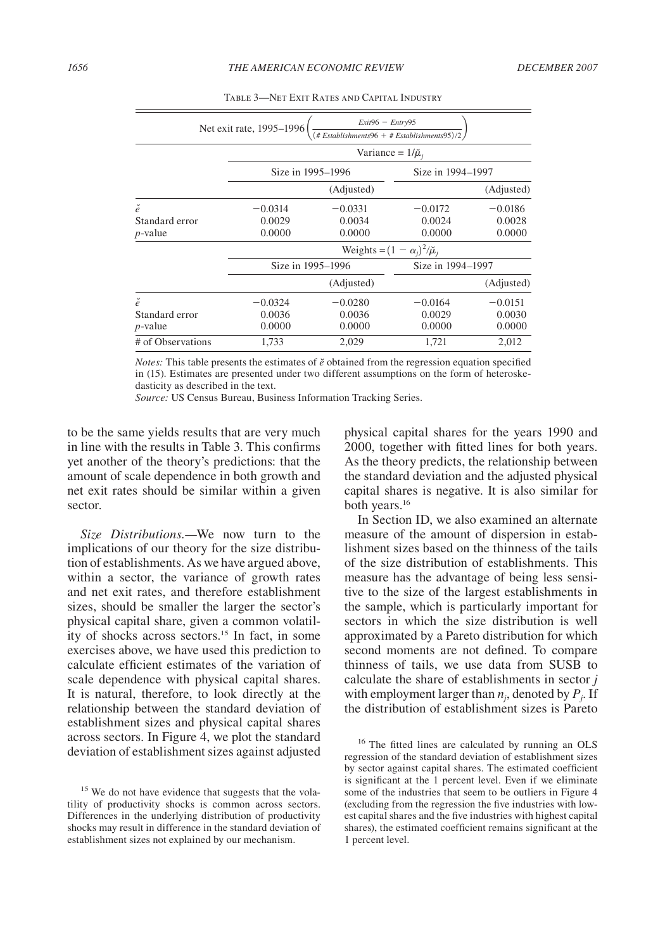|                   | Net exit rate, 1995-1996                     | $Exit96 - Entry95$<br>$(\text{\# Establishments96 + \# Establishments95})/2$ , |           |                   |  |
|-------------------|----------------------------------------------|--------------------------------------------------------------------------------|-----------|-------------------|--|
|                   | Variance = $1/\mu_i$                         |                                                                                |           |                   |  |
|                   |                                              | Size in 1995–1996                                                              |           | Size in 1994–1997 |  |
|                   |                                              | (Adjusted)                                                                     |           | (Adjusted)        |  |
| ĕ                 | $-0.0314$                                    | $-0.0331$                                                                      | $-0.0172$ | $-0.0186$         |  |
| Standard error    | 0.0029                                       | 0.0034                                                                         | 0.0024    | 0.0028            |  |
| $p$ -value        | 0.0000                                       | 0.0000                                                                         | 0.0000    | 0.0000            |  |
|                   | Weights = $(1 - \alpha_i)^2 / \tilde{\mu}_i$ |                                                                                |           |                   |  |
|                   |                                              | Size in 1995–1996                                                              |           | Size in 1994–1997 |  |
|                   |                                              | (Adjusted)                                                                     |           | (Adjusted)        |  |
| $\breve{\rho}$    | $-0.0324$                                    | $-0.0280$                                                                      | $-0.0164$ | $-0.0151$         |  |
| Standard error    | 0.0036                                       | 0.0036                                                                         | 0.0029    | 0.0030            |  |
| $p$ -value        | 0.0000                                       | 0.0000                                                                         | 0.0000    | 0.0000            |  |
| # of Observations | 1.733                                        | 2.029                                                                          | 1.721     | 2.012             |  |

Table 3—Net Exit Rates and Capital Industry

*Notes:* This table presents the estimates of  $\check{e}$  obtained from the regression equation specified in (15). Estimates are presented under two different assumptions on the form of heteroskedasticity as described in the text.

*Source:* US Census Bureau, Business Information Tracking Series.

to be the same yields results that are very much in line with the results in Table 3. This confirms yet another of the theory's predictions: that the amount of scale dependence in both growth and net exit rates should be similar within a given sector.

*Size Distributions.—*We now turn to the implications of our theory for the size distribution of establishments. As we have argued above, within a sector, the variance of growth rates and net exit rates, and therefore establishment sizes, should be smaller the larger the sector's physical capital share, given a common volatility of shocks across sectors.15 In fact, in some exercises above, we have used this prediction to calculate efficient estimates of the variation of scale dependence with physical capital shares. It is natural, therefore, to look directly at the relationship between the standard deviation of establishment sizes and physical capital shares across sectors. In Figure 4, we plot the standard deviation of establishment sizes against adjusted

physical capital shares for the years 1990 and 2000, together with fitted lines for both years. As the theory predicts, the relationship between the standard deviation and the adjusted physical capital shares is negative. It is also similar for both years.16

In Section ID, we also examined an alternate measure of the amount of dispersion in establishment sizes based on the thinness of the tails of the size distribution of establishments. This measure has the advantage of being less sensitive to the size of the largest establishments in the sample, which is particularly important for sectors in which the size distribution is well approximated by a Pareto distribution for which second moments are not defined. To compare thinness of tails, we use data from SUSB to calculate the share of establishments in sector *j*  with employment larger than  $n_j$ , denoted by  $P_j$ . If the distribution of establishment sizes is Pareto

<sup>&</sup>lt;sup>15</sup> We do not have evidence that suggests that the volatility of productivity shocks is common across sectors. Differences in the underlying distribution of productivity shocks may result in difference in the standard deviation of establishment sizes not explained by our mechanism.

<sup>&</sup>lt;sup>16</sup> The fitted lines are calculated by running an OLS regression of the standard deviation of establishment sizes by sector against capital shares. The estimated coefficient is significant at the 1 percent level. Even if we eliminate some of the industries that seem to be outliers in Figure 4 (excluding from the regression the five industries with lowest capital shares and the five industries with highest capital shares), the estimated coefficient remains significant at the 1 percent level.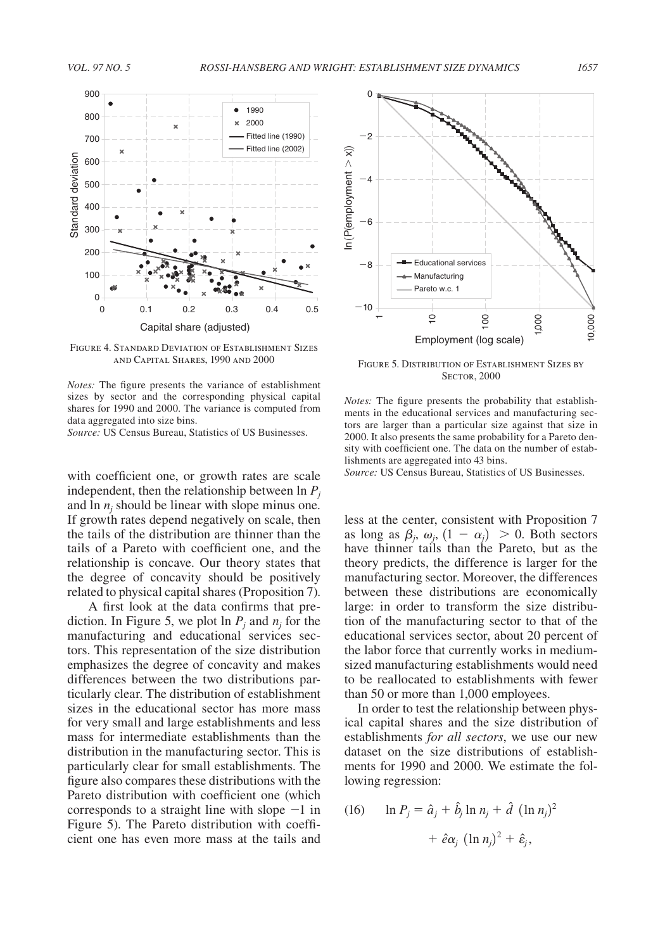

Figure 4. Standard Deviation of Establishment Sizes and Capital Shares, 1990 and 2000



*Source:* US Census Bureau, Statistics of US Businesses.

with coefficient one, or growth rates are scale independent, then the relationship between  $\ln P_i$ and  $\ln n_j$  should be linear with slope minus one. If growth rates depend negatively on scale, then the tails of the distribution are thinner than the tails of a Pareto with coefficient one, and the relationship is concave. Our theory states that the degree of concavity should be positively related to physical capital shares (Proposition 7).

 A first look at the data confirms that prediction. In Figure 5, we plot  $\ln P_j$  and  $n_j$  for the manufacturing and educational services sectors. This representation of the size distribution emphasizes the degree of concavity and makes differences between the two distributions particularly clear. The distribution of establishment sizes in the educational sector has more mass for very small and large establishments and less mass for intermediate establishments than the distribution in the manufacturing sector. This is particularly clear for small establishments. The figure also compares these distributions with the Pareto distribution with coefficient one (which corresponds to a straight line with slope  $-1$  in Figure 5). The Pareto distribution with coefficient one has even more mass at the tails and



Figure 5. Distribution of Establishment Sizes by Sector, 2000

*Notes:* The figure presents the probability that establishments in the educational services and manufacturing sectors are larger than a particular size against that size in 2000. It also presents the same probability for a Pareto density with coefficient one. The data on the number of establishments are aggregated into 43 bins.

*Source:* US Census Bureau, Statistics of US Businesses.

less at the center, consistent with Proposition 7 as long as  $\beta_j$ ,  $\omega_j$ ,  $(1 - \alpha_j) > 0$ . Both sectors have thinner tails than the Pareto, but as the theory predicts, the difference is larger for the manufacturing sector. Moreover, the differences between these distributions are economically large: in order to transform the size distribution of the manufacturing sector to that of the educational services sector, about 20 percent of the labor force that currently works in mediumsized manufacturing establishments would need to be reallocated to establishments with fewer than 50 or more than 1,000 employees.

In order to test the relationship between physical capital shares and the size distribution of establishments *for all sectors*, we use our new dataset on the size distributions of establishments for 1990 and 2000. We estimate the following regression:

(16) 
$$
\ln P_j = \hat{a}_j + \hat{b}_j \ln n_j + \hat{d} \ (\ln n_j)^2 + \hat{e}_{\alpha_j} \ (\ln n_j)^2 + \hat{e}_j,
$$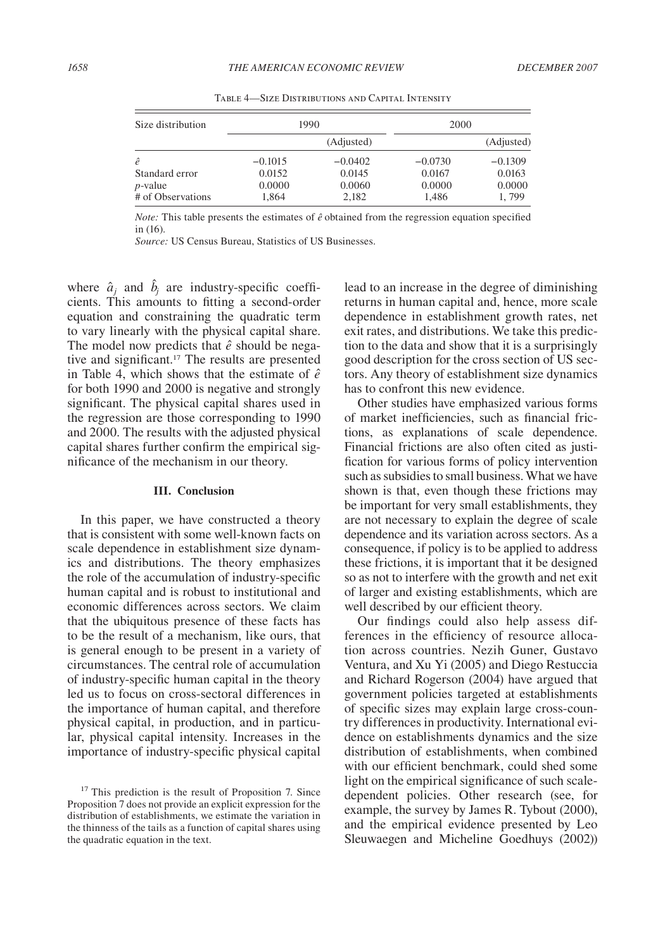| Size distribution            | 1990             |                  | 2000             |                  |
|------------------------------|------------------|------------------|------------------|------------------|
|                              |                  | (Adjusted)       |                  | (Adjusted)       |
| ê                            | $-0.1015$        | $-0.0402$        | $-0.0730$        | $-0.1309$        |
| Standard error<br>$p$ -value | 0.0152<br>0.0000 | 0.0145<br>0.0060 | 0.0167<br>0.0000 | 0.0163<br>0.0000 |
| # of Observations            | 1,864            | 2,182            | 1,486            | 1.799            |

Table 4—Size Distributions and Capital Intensity

*Note:* This table presents the estimates of  $\hat{e}$  obtained from the regression equation specified in (16).

*Source:* US Census Bureau, Statistics of US Businesses.

where  $\hat{a}_j$  and  $\hat{b}_j$  are industry-specific coefficients. This amounts to fitting a second-order equation and constraining the quadratic term to vary linearly with the physical capital share. The model now predicts that  $\hat{e}$  should be negative and significant.<sup>17</sup> The results are presented in Table 4, which shows that the estimate of  $\hat{e}$ for both 1990 and 2000 is negative and strongly significant. The physical capital shares used in the regression are those corresponding to 1990 and 2000. The results with the adjusted physical capital shares further confirm the empirical significance of the mechanism in our theory.

#### **III. Conclusion**

In this paper, we have constructed a theory that is consistent with some well-known facts on scale dependence in establishment size dynamics and distributions. The theory emphasizes the role of the accumulation of industry-specific human capital and is robust to institutional and economic differences across sectors. We claim that the ubiquitous presence of these facts has to be the result of a mechanism, like ours, that is general enough to be present in a variety of circumstances. The central role of accumulation of industry-specific human capital in the theory led us to focus on cross-sectoral differences in the importance of human capital, and therefore physical capital, in production, and in particular, physical capital intensity. Increases in the importance of industry-specific physical capital

lead to an increase in the degree of diminishing returns in human capital and, hence, more scale dependence in establishment growth rates, net exit rates, and distributions. We take this prediction to the data and show that it is a surprisingly good description for the cross section of US sectors. Any theory of establishment size dynamics has to confront this new evidence.

Other studies have emphasized various forms of market inefficiencies, such as financial frictions, as explanations of scale dependence. Financial frictions are also often cited as justification for various forms of policy intervention such as subsidies to small business. What we have shown is that, even though these frictions may be important for very small establishments, they are not necessary to explain the degree of scale dependence and its variation across sectors. As a consequence, if policy is to be applied to address these frictions, it is important that it be designed so as not to interfere with the growth and net exit of larger and existing establishments, which are well described by our efficient theory.

Our findings could also help assess differences in the efficiency of resource allocation across countries. Nezih Guner, Gustavo Ventura, and Xu Yi (2005) and Diego Restuccia and Richard Rogerson (2004) have argued that government policies targeted at establishments of specific sizes may explain large cross-country differences in productivity. International evidence on establishments dynamics and the size distribution of establishments, when combined with our efficient benchmark, could shed some light on the empirical significance of such scaledependent policies. Other research (see, for example, the survey by James R. Tybout (2000), and the empirical evidence presented by Leo Sleuwaegen and Micheline Goedhuys (2002))

<sup>&</sup>lt;sup>17</sup> This prediction is the result of Proposition 7. Since Proposition 7 does not provide an explicit expression for the distribution of establishments, we estimate the variation in the thinness of the tails as a function of capital shares using the quadratic equation in the text.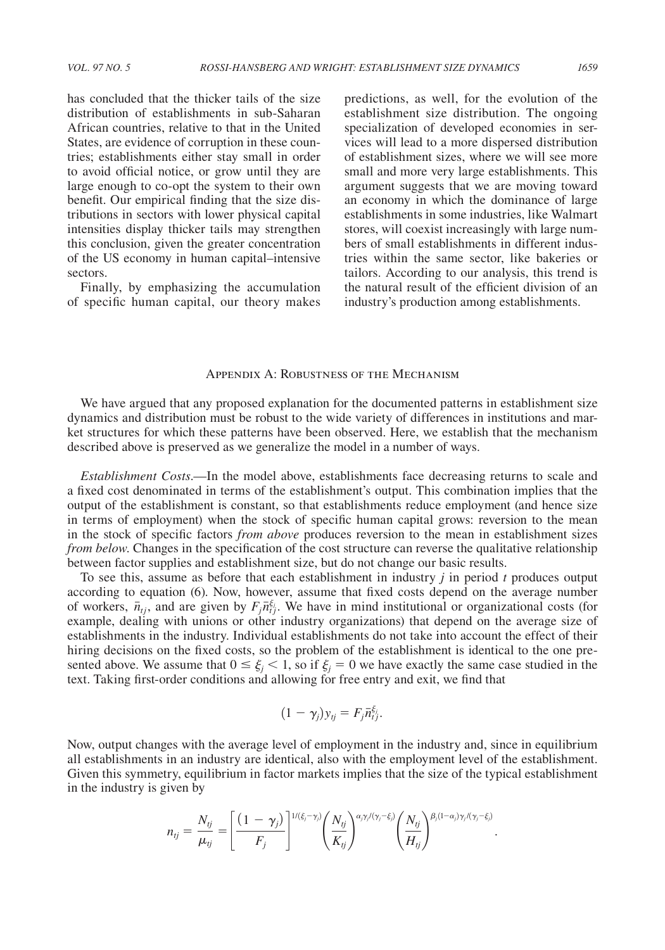has concluded that the thicker tails of the size distribution of establishments in sub-Saharan African countries, relative to that in the United States, are evidence of corruption in these countries; establishments either stay small in order to avoid official notice, or grow until they are large enough to co-opt the system to their own benefit. Our empirical finding that the size distributions in sectors with lower physical capital intensities display thicker tails may strengthen this conclusion, given the greater concentration of the US economy in human capital–intensive sectors.

Finally, by emphasizing the accumulation of specific human capital, our theory makes predictions, as well, for the evolution of the establishment size distribution. The ongoing specialization of developed economies in services will lead to a more dispersed distribution of establishment sizes, where we will see more small and more very large establishments. This argument suggests that we are moving toward an economy in which the dominance of large establishments in some industries, like Walmart stores, will coexist increasingly with large numbers of small establishments in different industries within the same sector, like bakeries or tailors. According to our analysis, this trend is the natural result of the efficient division of an industry's production among establishments.

.

## Appendix A: Robustness of the Mechanism

We have argued that any proposed explanation for the documented patterns in establishment size dynamics and distribution must be robust to the wide variety of differences in institutions and market structures for which these patterns have been observed. Here, we establish that the mechanism described above is preserved as we generalize the model in a number of ways.

*Establishment Costs*.—In the model above, establishments face decreasing returns to scale and a fixed cost denominated in terms of the establishment's output. This combination implies that the output of the establishment is constant, so that establishments reduce employment (and hence size in terms of employment) when the stock of specific human capital grows: reversion to the mean in the stock of specific factors *from above* produces reversion to the mean in establishment sizes *from below*. Changes in the specification of the cost structure can reverse the qualitative relationship between factor supplies and establishment size, but do not change our basic results.

To see this, assume as before that each establishment in industry *j* in period *t* produces output according to equation (6). Now, however, assume that fixed costs depend on the average number of workers,  $\bar{n}_{tj}$ , and are given by  $F_j \bar{n}_{tj}^{\xi_j}$ . We have in mind institutional or organizational costs (for example, dealing with unions or other industry organizations) that depend on the average size of establishments in the industry. Individual establishments do not take into account the effect of their hiring decisions on the fixed costs, so the problem of the establishment is identical to the one presented above. We assume that  $0 \le \xi_j < 1$ , so if  $\xi_j = 0$  we have exactly the same case studied in the text. Taking first-order conditions and allowing for free entry and exit, we find that

$$
(1-\gamma_j)y_{tj}=F_j\bar{n}_{tj}^{\xi_j}.
$$

Now, output changes with the average level of employment in the industry and, since in equilibrium all establishments in an industry are identical, also with the employment level of the establishment. Given this symmetry, equilibrium in factor markets implies that the size of the typical establishment in the industry is given by

$$
n_{tj} = \frac{N_{tj}}{\mu_{tj}} = \left[\frac{(1-\gamma_j)}{F_j}\right]^{1/(\xi_j-\gamma_j)} \left(\frac{N_{tj}}{K_{tj}}\right)^{\alpha_j \gamma_j/(\gamma_j-\xi_j)} \left(\frac{N_{tj}}{H_{tj}}\right)^{\beta_j (1-\alpha_j)\gamma_j/(\gamma_j-\xi_j)}
$$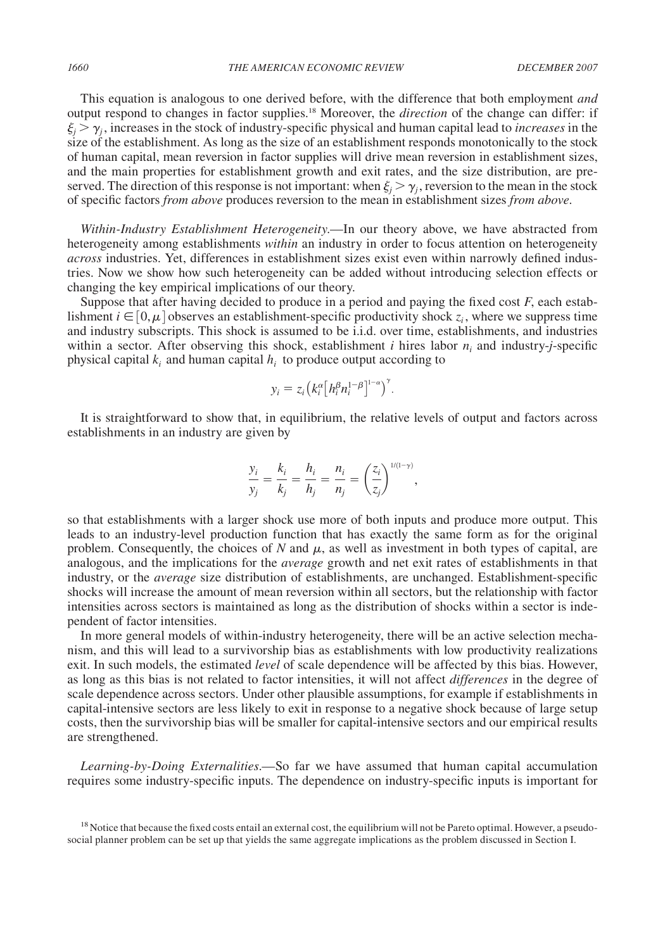This equation is analogous to one derived before, with the difference that both employment *and* output respond to changes in factor supplies.18 Moreover, the *direction* of the change can differ: if  $\xi_j > \gamma_j$ , increases in the stock of industry-specific physical and human capital lead to *increases* in the size of the establishment. As long as the size of an establishment responds monotonically to the stock of human capital, mean reversion in factor supplies will drive mean reversion in establishment sizes, and the main properties for establishment growth and exit rates, and the size distribution, are preserved. The direction of this response is not important: when  $\xi_j > \gamma_j$ , reversion to the mean in the stock of specific factors *from above* produces reversion to the mean in establishment sizes *from above*.

*Within-Industry Establishment Heterogeneity*.—In our theory above, we have abstracted from heterogeneity among establishments *within* an industry in order to focus attention on heterogeneity *across* industries. Yet, differences in establishment sizes exist even within narrowly defined industries. Now we show how such heterogeneity can be added without introducing selection effects or changing the key empirical implications of our theory.

Suppose that after having decided to produce in a period and paying the fixed cost *F*, each establishment  $i \in [0,\mu]$  observes an establishment-specific productivity shock  $z_i$ , where we suppress time and industry subscripts. This shock is assumed to be i.i.d. over time, establishments, and industries within a sector. After observing this shock, establishment  $i$  hires labor  $n_i$  and industry-j-specific physical capital  $k_i$  and human capital  $h_i$  to produce output according to

$$
y_i = z_i \left( k_i^{\alpha} \left[ h_i^{\beta} n_i^{1-\beta} \right]^{1-\alpha} \right)^{\gamma}.
$$

It is straightforward to show that, in equilibrium, the relative levels of output and factors across establishments in an industry are given by

$$
\frac{y_i}{y_j} = \frac{k_i}{k_j} = \frac{h_i}{h_j} = \frac{n_i}{n_j} = \left(\frac{z_i}{z_j}\right)^{1/(1-\gamma)},
$$

so that establishments with a larger shock use more of both inputs and produce more output. This leads to an industry-level production function that has exactly the same form as for the original problem. Consequently, the choices of  $N$  and  $\mu$ , as well as investment in both types of capital, are analogous, and the implications for the *average* growth and net exit rates of establishments in that industry, or the *average* size distribution of establishments, are unchanged. Establishment-specific shocks will increase the amount of mean reversion within all sectors, but the relationship with factor intensities across sectors is maintained as long as the distribution of shocks within a sector is independent of factor intensities.

In more general models of within-industry heterogeneity, there will be an active selection mechanism, and this will lead to a survivorship bias as establishments with low productivity realizations exit. In such models, the estimated *level* of scale dependence will be affected by this bias. However, as long as this bias is not related to factor intensities, it will not affect *differences* in the degree of scale dependence across sectors. Under other plausible assumptions, for example if establishments in capital-intensive sectors are less likely to exit in response to a negative shock because of large setup costs, then the survivorship bias will be smaller for capital-intensive sectors and our empirical results are strengthened.

*Learning-by-Doing Externalities*.—So far we have assumed that human capital accumulation requires some industry-specific inputs. The dependence on industry-specific inputs is important for

<sup>&</sup>lt;sup>18</sup> Notice that because the fixed costs entail an external cost, the equilibrium will not be Pareto optimal. However, a pseudosocial planner problem can be set up that yields the same aggregate implications as the problem discussed in Section I.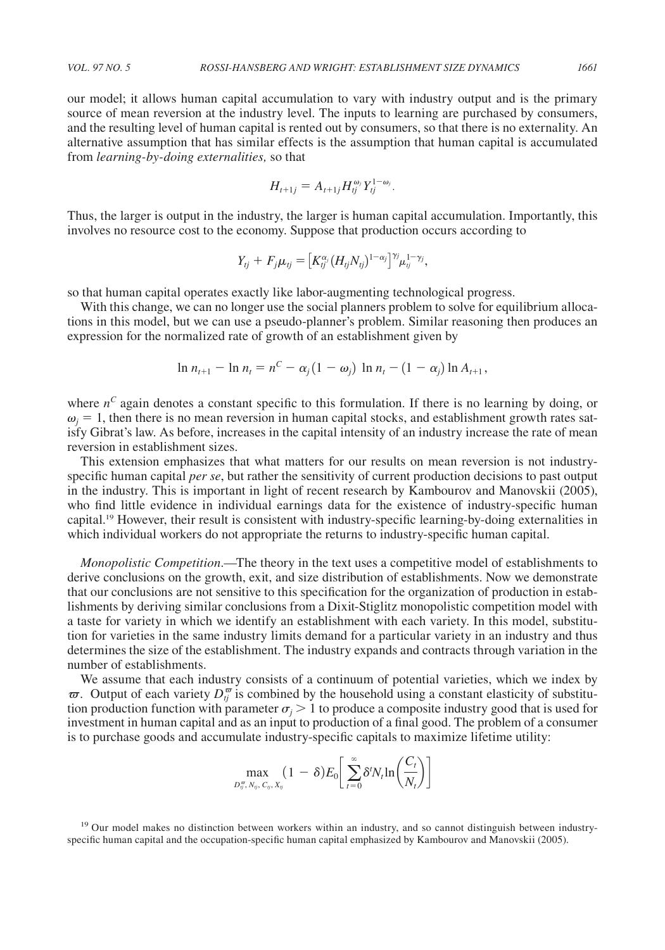our model; it allows human capital accumulation to vary with industry output and is the primary source of mean reversion at the industry level. The inputs to learning are purchased by consumers, and the resulting level of human capital is rented out by consumers, so that there is no externality. An alternative assumption that has similar effects is the assumption that human capital is accumulated from *learning-by-doing externalities,* so that

$$
H_{t+1j} = A_{t+1j} H_{tj}^{\omega_j} Y_{tj}^{1-\omega_j}.
$$

Thus, the larger is output in the industry, the larger is human capital accumulation. Importantly, this involves no resource cost to the economy. Suppose that production occurs according to

$$
Y_{ij} + F_j \mu_{ij} = [K_{ij}^{\alpha_j} (H_{ij} N_{ij})^{1-\alpha_j}]^{\gamma_j} \mu_{ij}^{1-\gamma_j},
$$

so that human capital operates exactly like labor-augmenting technological progress.

With this change, we can no longer use the social planners problem to solve for equilibrium allocations in this model, but we can use a pseudo-planner's problem. Similar reasoning then produces an expression for the normalized rate of growth of an establishment given by

$$
\ln n_{t+1} - \ln n_t = n^C - \alpha_j (1 - \omega_j) \ln n_t - (1 - \alpha_j) \ln A_{t+1},
$$

where  $n<sup>C</sup>$  again denotes a constant specific to this formulation. If there is no learning by doing, or  $\omega_i = 1$ , then there is no mean reversion in human capital stocks, and establishment growth rates satisfy Gibrat's law. As before, increases in the capital intensity of an industry increase the rate of mean reversion in establishment sizes.

This extension emphasizes that what matters for our results on mean reversion is not industryspecific human capital *per se*, but rather the sensitivity of current production decisions to past output in the industry. This is important in light of recent research by Kambourov and Manovskii (2005), who find little evidence in individual earnings data for the existence of industry-specific human capital.19 However, their result is consistent with industry-specific learning-by-doing externalities in which individual workers do not appropriate the returns to industry-specific human capital.

*Monopolistic Competition*.—The theory in the text uses a competitive model of establishments to derive conclusions on the growth, exit, and size distribution of establishments. Now we demonstrate that our conclusions are not sensitive to this specification for the organization of production in establishments by deriving similar conclusions from a Dixit-Stiglitz monopolistic competition model with a taste for variety in which we identify an establishment with each variety. In this model, substitution for varieties in the same industry limits demand for a particular variety in an industry and thus determines the size of the establishment. The industry expands and contracts through variation in the number of establishments.

We assume that each industry consists of a continuum of potential varieties, which we index by  $\bar{\varpi}$ . Output of each variety  $D_{ij}^{\varpi}$  is combined by the household using a constant elasticity of substitution production function with parameter  $\sigma_j$  > 1 to produce a composite industry good that is used for investment in human capital and as an input to production of a final good. The problem of a consumer is to purchase goods and accumulate industry-specific capitals to maximize lifetime utility:

$$
\max_{D_{ij}^{\sigma}, N_{ij}, C_{ij}, X_{ij}} (1 - \delta) E_0 \bigg[ \sum_{t=0}^{\infty} \delta^t N_t \ln \bigg( \frac{C_t}{N_t} \bigg) \bigg]
$$

*Ct*

<sup>19</sup> Our model makes no distinction between workers within an industry, and so cannot distinguish between industryspecific human capital and the occupation-specific human capital emphasized by Kambourov and Manovskii (2005).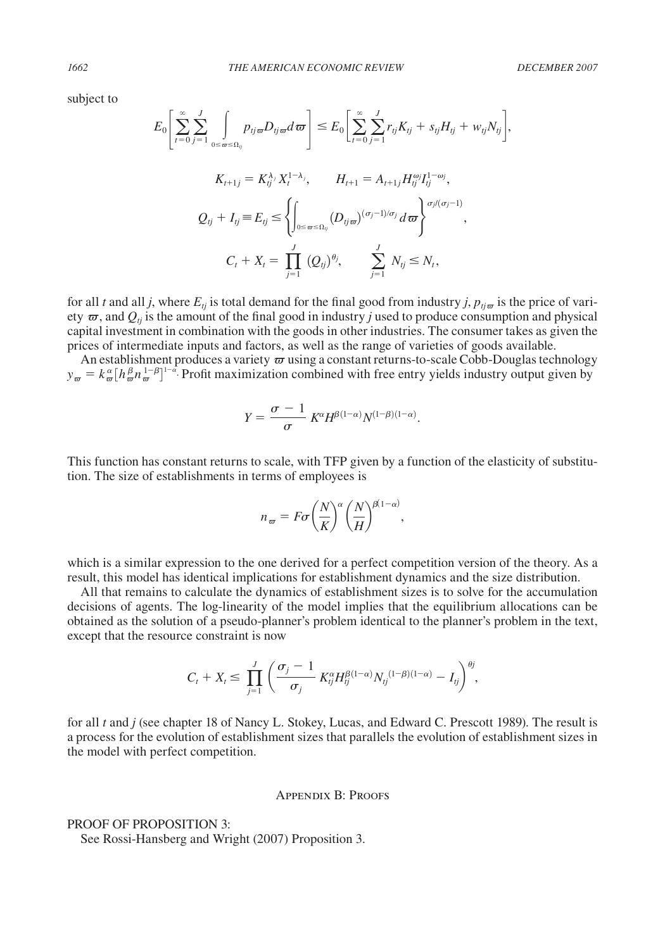subject to

$$
E_0\left[\sum_{t=0}^{\infty}\sum_{j=1}^{J}\int\limits_{0\leq\varpi\leq\Omega_{ij}}p_{ij\varpi}D_{ij\varpi}d\varpi\right] \leq E_0\left[\sum_{t=0}^{\infty}\sum_{j=1}^{J}r_{ij}K_{ij} + s_{ij}H_{ij} + w_{ij}N_{ij}\right],
$$
  

$$
K_{t+1j} = K_{ij}^{\lambda_j}X_t^{1-\lambda_j}, \qquad H_{t+1} = A_{t+1j}H_{ij}^{\omega_j}I_{ij}^{1-\omega_j},
$$
  

$$
Q_{ij} + I_{ij} \equiv E_{ij} \leq \left\{\int_{0\leq\varpi\leq\Omega_{ij}}(D_{ij\varpi})^{(\sigma_j-1)/\sigma_j}d\varpi\right\}^{\sigma_j/(\sigma_j-1)},
$$
  

$$
C_t + X_t = \prod_{j=1}^{J}(Q_{ij})^{\theta_j}, \qquad \sum_{j=1}^{J} N_{ij} \leq N_t,
$$

for all *t* and all *j*, where  $E_{ti}$  is total demand for the final good from industry *j*,  $p_{ti\varpi}$  is the price of variety  $\varpi$ , and  $Q_{ij}$  is the amount of the final good in industry *j* used to produce consumption and physical capital investment in combination with the goods in other industries. The consumer takes as given the prices of intermediate inputs and factors, as well as the range of varieties of goods available.

An establishment produces a variety  $\varpi$  using a constant returns-to-scale Cobb-Douglas technology  $y_{\varpi} = k_{\varpi}^{\alpha} [h_{\varpi}^{\beta} n_{\varpi}^{1-\beta}]^{1-\alpha}$ . Profit maximization combined with free entry yields industry output given by

$$
Y = \frac{\sigma - 1}{\sigma} K^{\alpha} H^{\beta(1-\alpha)} N^{(1-\beta)(1-\alpha)}.
$$

This function has constant returns to scale, with TFP given by a function of the elasticity of substitution. The size of establishments in terms of employees is

$$
n_{\varpi} = F\sigma \left(\frac{N}{K}\right)^{\alpha} \left(\frac{N}{H}\right)^{\beta(1-\alpha)}
$$

,

which is a similar expression to the one derived for a perfect competition version of the theory. As a result, this model has identical implications for establishment dynamics and the size distribution.

All that remains to calculate the dynamics of establishment sizes is to solve for the accumulation decisions of agents. The log-linearity of the model implies that the equilibrium allocations can be obtained as the solution of a pseudo-planner's problem identical to the planner's problem in the text, except that the resource constraint is now

$$
C_t+X_t\leq \prod_{j=1}^J\bigg(\frac{\sigma_j-1}{\sigma_j}K_{ij}^{\alpha}H_{ij}^{\beta(1-\alpha)}N_{ij}^{(1-\beta)(1-\alpha)}-I_{ij}\bigg)^{\theta j},
$$

for all *t* and *j* (see chapter 18 of Nancy L. Stokey, Lucas, and Edward C. Prescott 1989). The result is a process for the evolution of establishment sizes that parallels the evolution of establishment sizes in the model with perfect competition.

## Appendix B: Proofs

PROOF OF PROPOSITION 3:

See Rossi-Hansberg and Wright (2007) Proposition 3.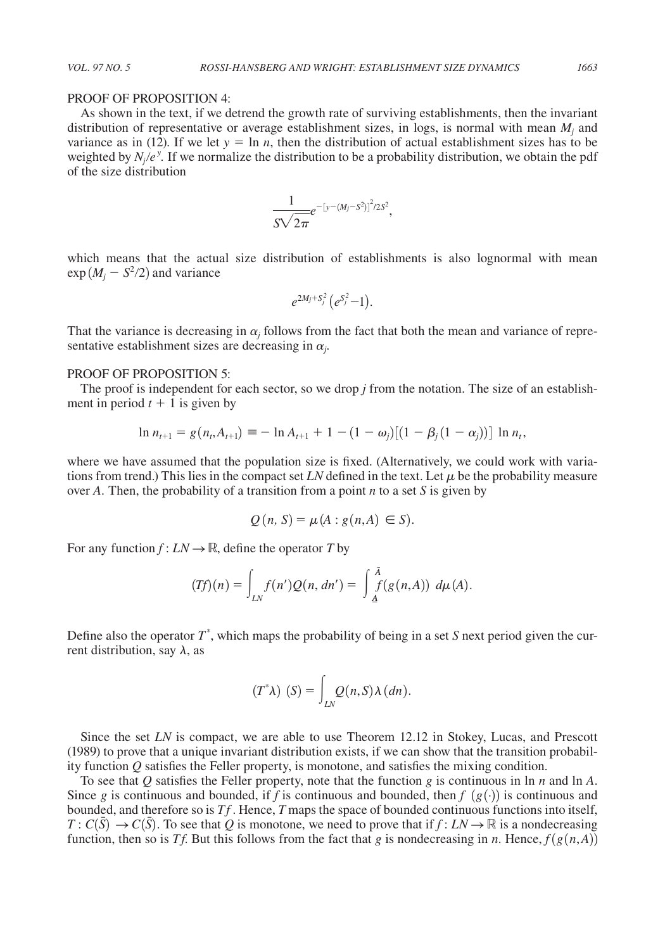## PROOF OF PROPOSITION 4:

As shown in the text, if we detrend the growth rate of surviving establishments, then the invariant distribution of representative or average establishment sizes, in logs, is normal with mean  $M_j$  and variance as in (12). If we let  $y = \ln n$ , then the distribution of actual establishment sizes has to be weighted by  $N_j/e^{\gamma}$ . If we normalize the distribution to be a probability distribution, we obtain the pdf of the size distribution

$$
\frac{1}{S\sqrt{2\pi}}e^{-[y-(M_j-S^2)]^2/2S^2},
$$

which means that the actual size distribution of establishments is also lognormal with mean  $\exp\left(M_j - S^2/2\right)$  and variance

$$
e^{2M_j+S_j^2}(e^{S_j^2}-1).
$$

That the variance is decreasing in  $\alpha_j$  follows from the fact that both the mean and variance of representative establishment sizes are decreasing in  $\alpha_j$ .

#### PROOF OF PROPOSITION 5:

The proof is independent for each sector, so we drop *j* from the notation. The size of an establishment in period  $t + 1$  is given by

$$
\ln n_{t+1} = g(n_t, A_{t+1}) \equiv -\ln A_{t+1} + 1 - (1 - \omega_j)[(1 - \beta_j(1 - \alpha_j))] \ln n_t,
$$

where we have assumed that the population size is fixed. (Alternatively, we could work with variations from trend.) This lies in the compact set LN defined in the text. Let  $\mu$  be the probability measure over *A.* Then, the probability of a transition from a point *n* to a set *S* is given by

$$
Q(n, S) = \mu(A : g(n, A) \in S).
$$

For any function  $f: LN \to \mathbb{R}$ , define the operator *T* by

$$
(Tf)(n) = \int_{LN} f(n')Q(n, dn') = \int_{\Delta}^{\bar{A}} f(g(n, A)) d\mu(A).
$$

Define also the operator *T*\* , which maps the probability of being in a set *S* next period given the current distribution, say  $\lambda$ , as

$$
(T^*\lambda) (S) = \int_{LN} Q(n, S) \lambda (dn).
$$

Since the set *LN* is compact, we are able to use Theorem 12.12 in Stokey, Lucas, and Prescott (1989) to prove that a unique invariant distribution exists, if we can show that the transition probability function *Q* satisfies the Feller property, is monotone, and satisfies the mixing condition.

To see that *Q* satisfies the Feller property, note that the function *g* is continuous in ln *n* and ln *A*. Since *g* is continuous and bounded, if *f* is continuous and bounded, then *f*  $(g(\cdot))$  is continuous and bounded, and therefore so is *Tf* . Hence, *T* maps the space of bounded continuous functions into itself,  $T: C(\bar{S}) \to C(\bar{S})$ . To see that *Q* is monotone, we need to prove that if  $f: LN \to \mathbb{R}$  is a nondecreasing function, then so is *Tf*. But this follows from the fact that *g* is nondecreasing in *n*. Hence,  $f(g(n, A))$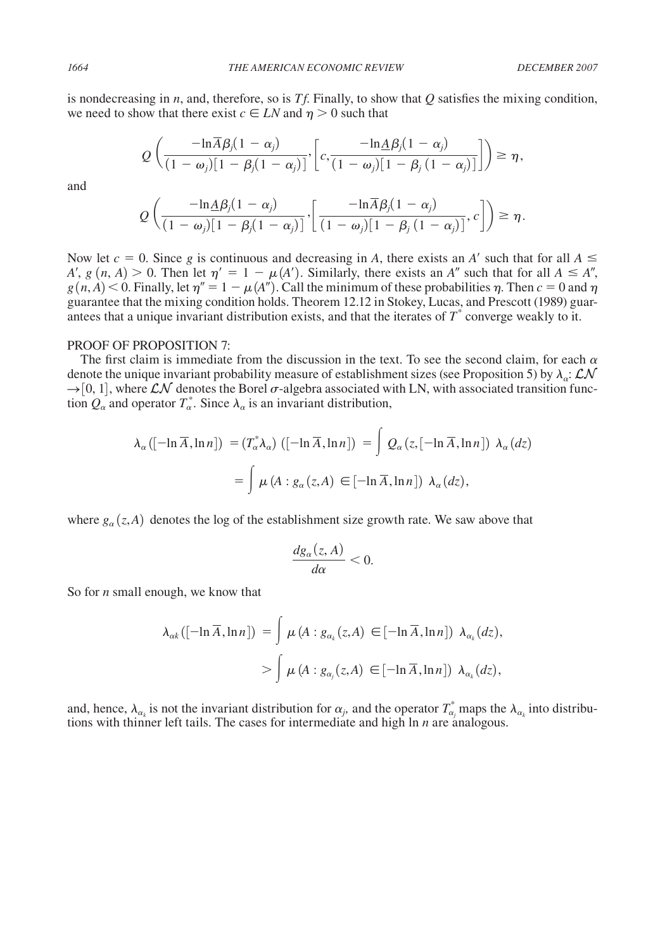is nondecreasing in *n*, and, therefore, so is *Tf*. Finally, to show that *Q* satisfies the mixing condition, we need to show that there exist  $c \in LN$  and  $\eta > 0$  such that

$$
Q\left(\frac{-\ln \overline{A}\beta_j(1-\alpha_j)}{(1-\omega_j)[1-\beta_j(1-\alpha_j)]},\left[c,\frac{-\ln \underline{A}\beta_j(1-\alpha_j)}{(1-\omega_j)[1-\beta_j(1-\alpha_j)]}\right]\right) \geq \eta,
$$

and

$$
Q\left(\frac{-\ln \underline{A}\beta_j(1-\alpha_j)}{(1-\omega_j)[1-\beta_j(1-\alpha_j)]},\left[\frac{-\ln \overline{A}\beta_j(1-\alpha_j)}{(1-\omega_j)[1-\beta_j(1-\alpha_j)]},c\right]\right) \geq \eta.
$$

Now let  $c = 0$ . Since g is continuous and decreasing in A, there exists an A' such that for all  $A \leq$ *A*',  $g(n, A) > 0$ . Then let  $\eta' = 1 - \mu(A')$ . Similarly, there exists an *A*<sup>n</sup> such that for all  $A \leq A''$ ,  $g(n, A)$  < 0. Finally, let  $\eta'' = 1 - \mu(A'')$ . Call the minimum of these probabilities  $\eta$ . Then  $c = 0$  and  $\eta$ guarantee that the mixing condition holds. Theorem 12.12 in Stokey, Lucas, and Prescott (1989) guarantees that a unique invariant distribution exists, and that the iterates of  $T^*$  converge weakly to it.

### PROOF OF PROPOSITION 7:

The first claim is immediate from the discussion in the text. To see the second claim, for each  $\alpha$ denote the unique invariant probability measure of establishment sizes (see Proposition 5) by  $\lambda_{\alpha}$ :  $\mathcal{LN}$  $\rightarrow$  [0, 1], where  $\mathcal{LN}$  denotes the Borel  $\sigma$ -algebra associated with LN, with associated transition function  $Q_{\alpha}$  and operator  $T_{\alpha}^*$ . Since  $\lambda_{\alpha}$  is an invariant distribution,

$$
\lambda_{\alpha}([-\ln \overline{A}, \ln n]) = (T_{\alpha}^{*}\lambda_{\alpha}) ([-\ln \overline{A}, \ln n]) = \int Q_{\alpha}(z, [-\ln \overline{A}, \ln n]) \lambda_{\alpha}(dz)
$$

$$
= \int \mu (A : g_{\alpha}(z, A) \in [-\ln \overline{A}, \ln n]) \lambda_{\alpha}(dz),
$$

where  $g_{\alpha}(z, A)$  denotes the log of the establishment size growth rate. We saw above that

$$
\frac{dg_{\alpha}(z,A)}{d\alpha}<0.
$$

So for *n* small enough, we know that

$$
\lambda_{\alpha k}([-\ln \overline{A}, \ln n]) = \int \mu(A : g_{\alpha_k}(z, A) \in [-\ln \overline{A}, \ln n]) \lambda_{\alpha_k}(dz),
$$
  

$$
> \int \mu(A : g_{\alpha_j}(z, A) \in [-\ln \overline{A}, \ln n]) \lambda_{\alpha_k}(dz),
$$

and, hence,  $\lambda_{\alpha_k}$  is not the invariant distribution for  $\alpha_j$ , and the operator  $T^*_{\alpha_j}$  maps the  $\lambda_{\alpha_k}$  into distributions with thinner left tails. The cases for intermediate and high  $\ln n$  are analogous.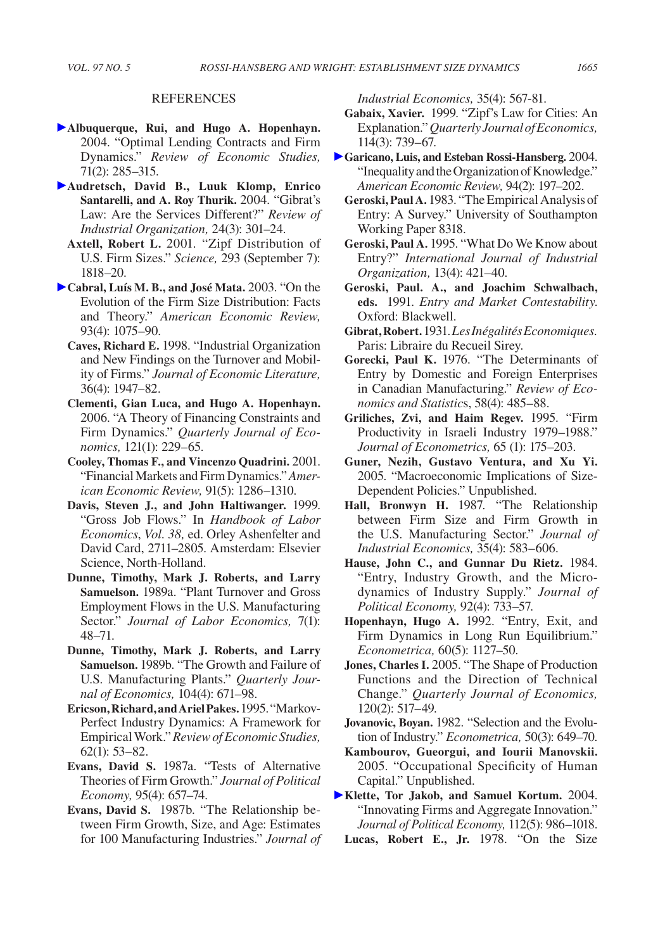## **REFERENCES**

- **Albuquerque, Rui, and Hugo A. Hopenhayn.** 2004. "Optimal Lending Contracts and Firm Dynamics." *Review of Economic Studies,* 71(2): 285–315.
- **Audretsch, David B., Luuk Klomp, Enrico Santarelli, and A. Roy Thurik.** 2004. "Gibrat's Law: Are the Services Different?" *Review of Industrial Organization,* 24(3): 301–24.
	- **Axtell, Robert L.** 2001. "Zipf Distribution of U.S. Firm Sizes." *Science,* 293 (September 7): 1818–20.
- **Cabral, Luís M. B., and José Mata.** 2003. "On the Evolution of the Firm Size Distribution: Facts and Theory." *American Economic Review,* 93(4): 1075–90.
	- **Caves, Richard E.** 1998. "Industrial Organization and New Findings on the Turnover and Mobility of Firms." *Journal of Economic Literature,* 36(4): 1947–82.
	- **Clementi, Gian Luca, and Hugo A. Hopenhayn.** 2006. "A Theory of Financing Constraints and Firm Dynamics." *Quarterly Journal of Economics,* 121(1): 229–65.
	- **Cooley, Thomas F., and Vincenzo Quadrini.** 2001. "Financial Markets and Firm Dynamics." *American Economic Review,* 91(5): 1286–1310.
	- **Davis, Steven J., and John Haltiwanger.** 1999. "Gross Job Flows." In *Handbook of Labor Economics*, *Vol. 38,* ed. Orley Ashenfelter and David Card, 2711–2805. Amsterdam: Elsevier Science, North-Holland.
	- **Dunne, Timothy, Mark J. Roberts, and Larry Samuelson.** 1989a. "Plant Turnover and Gross Employment Flows in the U.S. Manufacturing Sector." *Journal of Labor Economics,* 7(1): 48–71.
	- **Dunne, Timothy, Mark J. Roberts, and Larry Samuelson.** 1989b. "The Growth and Failure of U.S. Manufacturing Plants." *Quarterly Journal of Economics,* 104(4): 671–98.
	- **Ericson,Richard,andArielPakes.**1995. "Markov-Perfect Industry Dynamics: A Framework for Empirical Work." *Review of Economic Studies,* 62(1): 53–82.
	- **Evans, David S.** 1987a. "Tests of Alternative Theories of Firm Growth." *Journal of Political Economy,* 95(4): 657–74.
	- **Evans, David S.** 1987b. "The Relationship between Firm Growth, Size, and Age: Estimates for 100 Manufacturing Industries." *Journal of*

*Industrial Economics,* 35(4): 567-81.

- **Gabaix, Xavier.** 1999. "Zipf's Law for Cities: An Explanation." *Quarterly Journal of Economics,* 114(3): 739–67.
- **Garicano, Luis, and Esteban Rossi-Hansberg.** 2004. "Inequality and the Organization of Knowledge." *American Economic Review,* 94(2): 197–202.
	- **Geroski,Paul A.** 1983. "The Empirical Analysis of Entry: A Survey." University of Southampton Working Paper 8318.
	- **Geroski, Paul A.** 1995. "What Do We Know about Entry?" *International Journal of Industrial Organization,* 13(4): 421–40.
	- **Geroski, Paul. A., and Joachim Schwalbach, eds.** 1991. *Entry and Market Contestability*. Oxford: Blackwell.
	- **Gibrat,Robert.**1931. *Les Inégalités Economiques.* Paris: Libraire du Recueil Sirey.
	- **Gorecki, Paul K.** 1976. "The Determinants of Entry by Domestic and Foreign Enterprises in Canadian Manufacturing." *Review of Economics and Statistic*s, 58(4): 485–88.
	- **Griliches, Zvi, and Haim Regev.** 1995. "Firm Productivity in Israeli Industry 1979–1988." *Journal of Econometrics,* 65 (1): 175–203.
	- **Guner, Nezih, Gustavo Ventura, and Xu Yi.** 2005. "Macroeconomic Implications of Size-Dependent Policies." Unpublished.
	- **Hall, Bronwyn H.** 1987. "The Relationship between Firm Size and Firm Growth in the U.S. Manufacturing Sector." *Journal of Industrial Economics,* 35(4): 583–606.
	- **Hause, John C., and Gunnar Du Rietz.** 1984. "Entry, Industry Growth, and the Microdynamics of Industry Supply." *Journal of Political Economy,* 92(4): 733–57.
	- **Hopenhayn, Hugo A.** 1992. "Entry, Exit, and Firm Dynamics in Long Run Equilibrium." *Econometrica,* 60(5): 1127–50.
	- **Jones, Charles I.** 2005. "The Shape of Production Functions and the Direction of Technical Change." *Quarterly Journal of Economics,* 120(2): 517–49.
	- **Jovanovic, Boyan.** 1982. "Selection and the Evolution of Industry." *Econometrica,* 50(3): 649–70.
	- **Kambourov, Gueorgui, and Iourii Manovskii.** 2005. "Occupational Specificity of Human Capital." Unpublished.
- **Klette, Tor Jakob, and Samuel Kortum.** 2004. "Innovating Firms and Aggregate Innovation." *Journal of Political Economy,* 112(5): 986–1018.
	- **Lucas, Robert E., Jr.** 1978. "On the Size